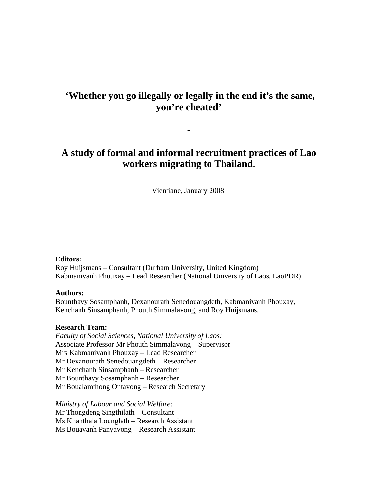# **'Whether you go illegally or legally in the end it's the same, you're cheated'**

## **A study of formal and informal recruitment practices of Lao workers migrating to Thailand.**

**-** 

Vientiane, January 2008.

#### **Editors:**

Roy Huijsmans – Consultant (Durham University, United Kingdom) Kabmanivanh Phouxay – Lead Researcher (National University of Laos, LaoPDR)

#### **Authors:**

Bounthavy Sosamphanh, Dexanourath Senedouangdeth, Kabmanivanh Phouxay, Kenchanh Sinsamphanh, Phouth Simmalavong, and Roy Huijsmans.

#### **Research Team:**

*Faculty of Social Sciences, National University of Laos:*  Associate Professor Mr Phouth Simmalavong – Supervisor Mrs Kabmanivanh Phouxay – Lead Researcher Mr Dexanourath Senedouangdeth – Researcher Mr Kenchanh Sinsamphanh – Researcher Mr Bounthavy Sosamphanh – Researcher Mr Boualamthong Ontavong – Research Secretary

*Ministry of Labour and Social Welfare:*  Mr Thongdeng Singthilath – Consultant Ms Khanthala Lounglath – Research Assistant Ms Bouavanh Panyavong – Research Assistant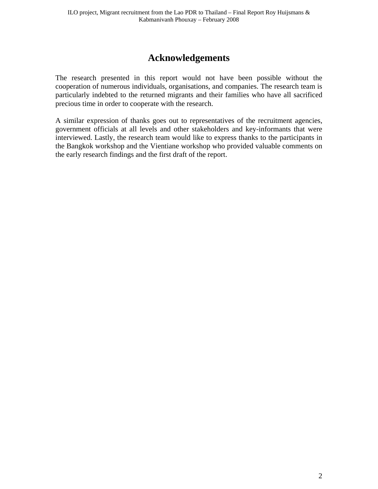# **Acknowledgements**

<span id="page-1-0"></span>The research presented in this report would not have been possible without the cooperation of numerous individuals, organisations, and companies. The research team is particularly indebted to the returned migrants and their families who have all sacrificed precious time in order to cooperate with the research.

A similar expression of thanks goes out to representatives of the recruitment agencies, government officials at all levels and other stakeholders and key-informants that were interviewed. Lastly, the research team would like to express thanks to the participants in the Bangkok workshop and the Vientiane workshop who provided valuable comments on the early research findings and the first draft of the report.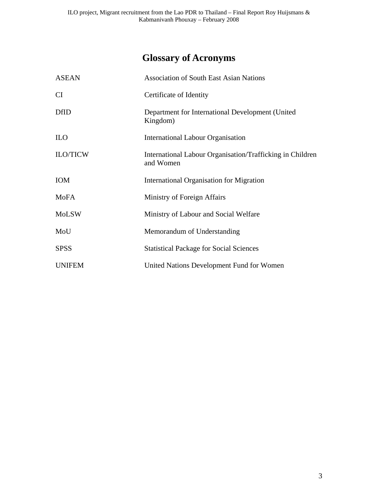# **Glossary of Acronyms**

<span id="page-2-0"></span>

| <b>ASEAN</b>    | <b>Association of South East Asian Nations</b>                         |
|-----------------|------------------------------------------------------------------------|
| CI              | Certificate of Identity                                                |
| <b>DfID</b>     | Department for International Development (United<br>Kingdom)           |
| <b>ILO</b>      | <b>International Labour Organisation</b>                               |
| <b>ILO/TICW</b> | International Labour Organisation/Trafficking in Children<br>and Women |
| <b>IOM</b>      | <b>International Organisation for Migration</b>                        |
| <b>MoFA</b>     | Ministry of Foreign Affairs                                            |
| <b>MoLSW</b>    | Ministry of Labour and Social Welfare                                  |
| MoU             | Memorandum of Understanding                                            |
| <b>SPSS</b>     | <b>Statistical Package for Social Sciences</b>                         |
| <b>UNIFEM</b>   | United Nations Development Fund for Women                              |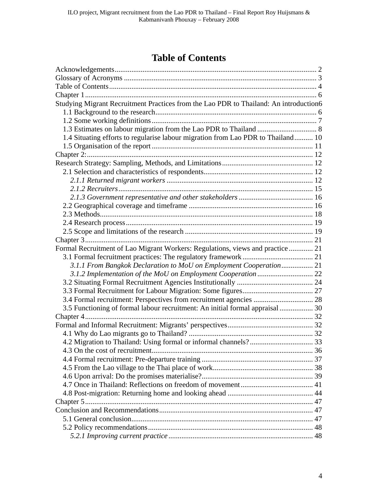# **Table of Contents**

<span id="page-3-0"></span>

| Studying Migrant Recruitment Practices from the Lao PDR to Thailand: An introduction6 |  |
|---------------------------------------------------------------------------------------|--|
|                                                                                       |  |
|                                                                                       |  |
|                                                                                       |  |
| 1.4 Situating efforts to regularise labour migration from Lao PDR to Thailand 10      |  |
|                                                                                       |  |
|                                                                                       |  |
|                                                                                       |  |
|                                                                                       |  |
|                                                                                       |  |
|                                                                                       |  |
|                                                                                       |  |
|                                                                                       |  |
|                                                                                       |  |
|                                                                                       |  |
|                                                                                       |  |
|                                                                                       |  |
| Formal Recruitment of Lao Migrant Workers: Regulations, views and practice  21        |  |
|                                                                                       |  |
| 3.1.1 From Bangkok Declaration to MoU on Employment Cooperation 21                    |  |
|                                                                                       |  |
|                                                                                       |  |
|                                                                                       |  |
|                                                                                       |  |
| 3.5 Functioning of formal labour recruitment: An initial formal appraisal  30         |  |
|                                                                                       |  |
|                                                                                       |  |
|                                                                                       |  |
|                                                                                       |  |
|                                                                                       |  |
|                                                                                       |  |
|                                                                                       |  |
|                                                                                       |  |
|                                                                                       |  |
|                                                                                       |  |
|                                                                                       |  |
|                                                                                       |  |
|                                                                                       |  |
|                                                                                       |  |
|                                                                                       |  |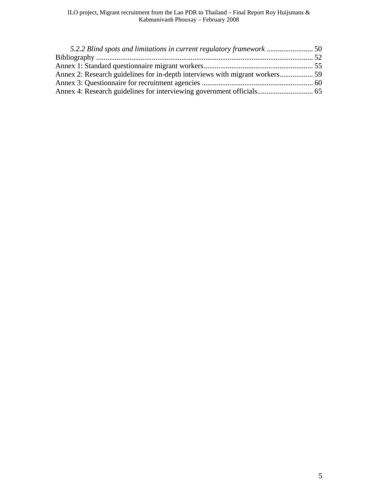| 5.2.2 Blind spots and limitations in current regulatory framework  50 |
|-----------------------------------------------------------------------|
|                                                                       |
|                                                                       |
|                                                                       |
|                                                                       |
|                                                                       |
|                                                                       |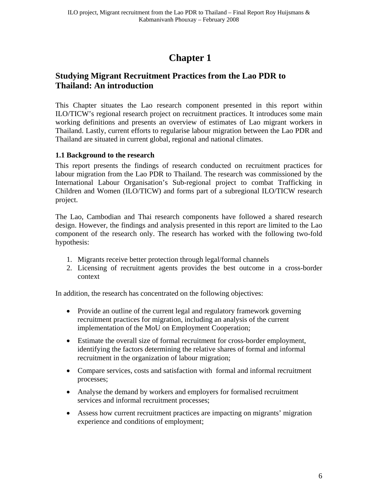# **Chapter 1**

## <span id="page-5-1"></span><span id="page-5-0"></span>**Studying Migrant Recruitment Practices from the Lao PDR to Thailand: An introduction**

This Chapter situates the Lao research component presented in this report within ILO/TICW's regional research project on recruitment practices. It introduces some main working definitions and presents an overview of estimates of Lao migrant workers in Thailand. Lastly, current efforts to regularise labour migration between the Lao PDR and Thailand are situated in current global, regional and national climates.

### <span id="page-5-2"></span>**1.1 Background to the research**

This report presents the findings of research conducted on recruitment practices for labour migration from the Lao PDR to Thailand. The research was commissioned by the International Labour Organisation's Sub-regional project to combat Trafficking in Children and Women (ILO/TICW) and forms part of a subregional ILO/TICW research project.

The Lao, Cambodian and Thai research components have followed a shared research design. However, the findings and analysis presented in this report are limited to the Lao component of the research only. The research has worked with the following two-fold hypothesis:

- 1. Migrants receive better protection through legal/formal channels
- 2. Licensing of recruitment agents provides the best outcome in a cross-border context

In addition, the research has concentrated on the following objectives:

- Provide an outline of the current legal and regulatory framework governing recruitment practices for migration, including an analysis of the current implementation of the MoU on Employment Cooperation;
- Estimate the overall size of formal recruitment for cross-border employment, identifying the factors determining the relative shares of formal and informal recruitment in the organization of labour migration;
- Compare services, costs and satisfaction with formal and informal recruitment processes;
- Analyse the demand by workers and employers for formalised recruitment services and informal recruitment processes;
- Assess how current recruitment practices are impacting on migrants' migration experience and conditions of employment;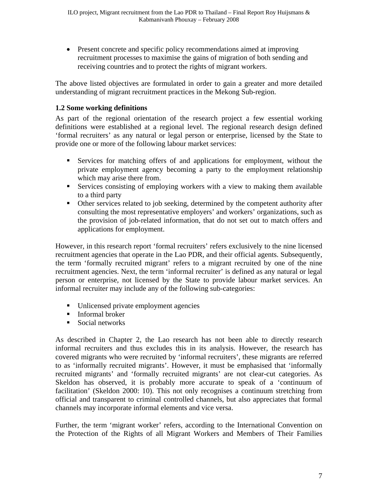Present concrete and specific policy recommendations aimed at improving recruitment processes to maximise the gains of migration of both sending and receiving countries and to protect the rights of migrant workers.

The above listed objectives are formulated in order to gain a greater and more detailed understanding of migrant recruitment practices in the Mekong Sub-region.

## <span id="page-6-0"></span>**1.2 Some working definitions**

As part of the regional orientation of the research project a few essential working definitions were established at a regional level. The regional research design defined 'formal recruiters' as any natural or legal person or enterprise, licensed by the State to provide one or more of the following labour market services:

- Services for matching offers of and applications for employment, without the private employment agency becoming a party to the employment relationship which may arise there from.
- Services consisting of employing workers with a view to making them available to a third party
- Other services related to job seeking, determined by the competent authority after consulting the most representative employers' and workers' organizations, such as the provision of job-related information, that do not set out to match offers and applications for employment.

However, in this research report 'formal recruiters' refers exclusively to the nine licensed recruitment agencies that operate in the Lao PDR, and their official agents. Subsequently, the term 'formally recruited migrant' refers to a migrant recruited by one of the nine recruitment agencies. Next, the term 'informal recruiter' is defined as any natural or legal person or enterprise, not licensed by the State to provide labour market services. An informal recruiter may include any of the following sub-categories:

- Unlicensed private employment agencies
- **Informal broker**
- Social networks

As described in Chapter 2, the Lao research has not been able to directly research informal recruiters and thus excludes this in its analysis. However, the research has covered migrants who were recruited by 'informal recruiters', these migrants are referred to as 'informally recruited migrants'. However, it must be emphasised that 'informally recruited migrants' and 'formally recruited migrants' are not clear-cut categories. As Skeldon has observed, it is probably more accurate to speak of a 'continuum of facilitation' (Skeldon 2000: 10). This not only recognises a continuum stretching from official and transparent to criminal controlled channels, but also appreciates that formal channels may incorporate informal elements and vice versa.

Further, the term 'migrant worker' refers, according to the International Convention on the Protection of the Rights of all Migrant Workers and Members of Their Families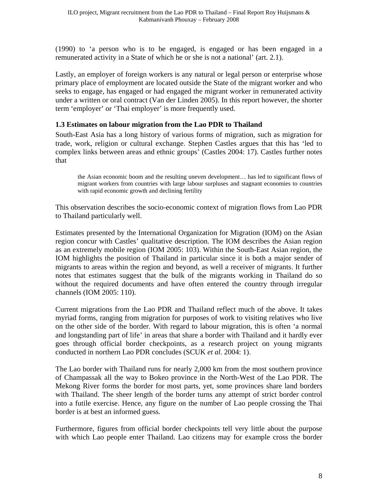(1990) to 'a person who is to be engaged, is engaged or has been engaged in a remunerated activity in a State of which he or she is not a national' (art. 2.1).

Lastly, an employer of foreign workers is any natural or legal person or enterprise whose primary place of employment are located outside the State of the migrant worker and who seeks to engage, has engaged or had engaged the migrant worker in remunerated activity under a written or oral contract (Van der Linden 2005). In this report however, the shorter term 'employer' or 'Thai employer' is more frequently used.

## <span id="page-7-0"></span>**1.3 Estimates on labour migration from the Lao PDR to Thailand**

South-East Asia has a long history of various forms of migration, such as migration for trade, work, religion or cultural exchange. Stephen Castles argues that this has 'led to complex links between areas and ethnic groups' (Castles 2004: 17). Castles further notes that

the Asian economic boom and the resulting uneven development… has led to significant flows of migrant workers from countries with large labour surpluses and stagnant economies to countries with rapid economic growth and declining fertility

This observation describes the socio-economic context of migration flows from Lao PDR to Thailand particularly well.

Estimates presented by the International Organization for Migration (IOM) on the Asian region concur with Castles' qualitative description. The IOM describes the Asian region as an extremely mobile region (IOM 2005: 103). Within the South-East Asian region, the IOM highlights the position of Thailand in particular since it is both a major sender of migrants to areas within the region and beyond, as well a receiver of migrants. It further notes that estimates suggest that the bulk of the migrants working in Thailand do so without the required documents and have often entered the country through irregular channels (IOM 2005: 110).

Current migrations from the Lao PDR and Thailand reflect much of the above. It takes myriad forms, ranging from migration for purposes of work to visiting relatives who live on the other side of the border. With regard to labour migration, this is often 'a normal and longstanding part of life' in areas that share a border with Thailand and it hardly ever goes through official border checkpoints, as a research project on young migrants conducted in northern Lao PDR concludes (SCUK *et al.* 2004: 1).

The Lao border with Thailand runs for nearly 2,000 km from the most southern province of Champassak all the way to Bokeo province in the North-West of the Lao PDR. The Mekong River forms the border for most parts, yet, some provinces share land borders with Thailand. The sheer length of the border turns any attempt of strict border control into a futile exercise. Hence, any figure on the number of Lao people crossing the Thai border is at best an informed guess.

Furthermore, figures from official border checkpoints tell very little about the purpose with which Lao people enter Thailand. Lao citizens may for example cross the border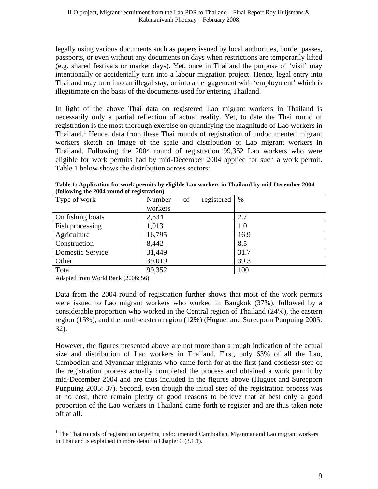legally using various documents such as papers issued by local authorities, border passes, passports, or even without any documents on days when restrictions are temporarily lifted (e.g. shared festivals or market days). Yet, once in Thailand the purpose of 'visit' may intentionally or accidentally turn into a labour migration project. Hence, legal entry into Thailand may turn into an illegal stay, or into an engagement with 'employment' which is illegitimate on the basis of the documents used for entering Thailand.

In light of the above Thai data on registered Lao migrant workers in Thailand is necessarily only a partial reflection of actual reality. Yet, to date the Thai round of registration is the most thorough exercise on quantifying the magnitude of Lao workers in Thailand.<sup>[1](#page-8-0)</sup> Hence, data from these Thai rounds of registration of undocumented migrant workers sketch an image of the scale and distribution of Lao migrant workers in Thailand. Following the 2004 round of registration 99,352 Lao workers who were eligible for work permits had by mid-December 2004 applied for such a work permit. Table 1 below shows the distribution across sectors:

| Type of work     | Number  | of | registered | $\%$ |
|------------------|---------|----|------------|------|
|                  | workers |    |            |      |
| On fishing boats | 2,634   |    |            | 2.7  |
| Fish processing  | 1,013   |    |            | 1.0  |
| Agriculture      | 16,795  |    |            | 16.9 |
| Construction     | 8,442   |    |            | 8.5  |
| Domestic Service | 31,449  |    |            | 31.7 |
| Other            | 39,019  |    |            | 39.3 |
| Total            | 99,352  |    |            | 100  |

**Table 1: Application for work permits by eligible Lao workers in Thailand by mid-December 2004 (following the 2004 round of registration)** 

Adapted from World Bank (2006: 56)

 $\overline{a}$ 

Data from the 2004 round of registration further shows that most of the work permits were issued to Lao migrant workers who worked in Bangkok (37%), followed by a considerable proportion who worked in the Central region of Thailand (24%), the eastern region (15%), and the north-eastern region (12%) (Huguet and Sureeporn Punpuing 2005: 32).

However, the figures presented above are not more than a rough indication of the actual size and distribution of Lao workers in Thailand. First, only 63% of all the Lao, Cambodian and Myanmar migrants who came forth for at the first (and costless) step of the registration process actually completed the process and obtained a work permit by mid-December 2004 and are thus included in the figures above (Huguet and Sureeporn Punpuing 2005: 37). Second, even though the initial step of the registration process was at no cost, there remain plenty of good reasons to believe that at best only a good proportion of the Lao workers in Thailand came forth to register and are thus taken note off at all.

<span id="page-8-0"></span><sup>&</sup>lt;sup>1</sup> The Thai rounds of registration targeting undocumented Cambodian, Myanmar and Lao migrant workers in Thailand is explained in more detail in Chapter 3 (3.1.1).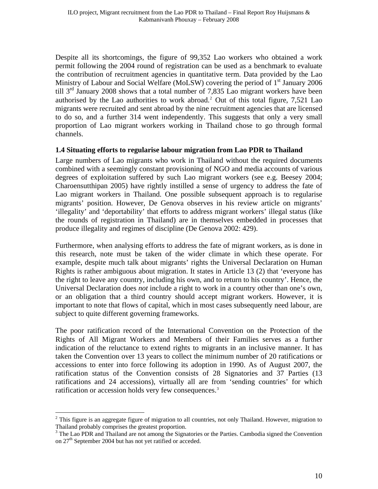Despite all its shortcomings, the figure of 99,352 Lao workers who obtained a work permit following the 2004 round of registration can be used as a benchmark to evaluate the contribution of recruitment agencies in quantitative term. Data provided by the Lao Ministry of Labour and Social Welfare (MoLSW) covering the period of  $1<sup>st</sup>$  January 2006 till  $3<sup>rd</sup>$  January 2008 shows that a total number of 7,835 Lao migrant workers have been authorised by the Lao authorities to work abroad.<sup>[2](#page-9-1)</sup> Out of this total figure,  $7,521$  Lao migrants were recruited and sent abroad by the nine recruitment agencies that are licensed to do so, and a further 314 went independently. This suggests that only a very small proportion of Lao migrant workers working in Thailand chose to go through formal channels.

#### <span id="page-9-0"></span>**1.4 Situating efforts to regularise labour migration from Lao PDR to Thailand**

Large numbers of Lao migrants who work in Thailand without the required documents combined with a seemingly constant provisioning of NGO and media accounts of various degrees of exploitation suffered by such Lao migrant workers (see e.g. Beesey 2004; Charoensutthipan 2005) have rightly instilled a sense of urgency to address the fate of Lao migrant workers in Thailand. One possible subsequent approach is to regularise migrants' position. However, De Genova observes in his review article on migrants' 'illegality' and 'deportability' that efforts to address migrant workers' illegal status (like the rounds of registration in Thailand) are in themselves embedded in processes that produce illegality and regimes of discipline (De Genova 2002: 429).

Furthermore, when analysing efforts to address the fate of migrant workers, as is done in this research, note must be taken of the wider climate in which these operate. For example, despite much talk about migrants' rights the Universal Declaration on Human Rights is rather ambiguous about migration. It states in Article 13 (2) that 'everyone has the right to leave any country, including his own, and to return to his country'. Hence, the Universal Declaration does *not* include a right to work in a country other than one's own, or an obligation that a third country should accept migrant workers. However, it is important to note that flows of capital, which in most cases subsequently need labour, are subject to quite different governing frameworks.

The poor ratification record of the International Convention on the Protection of the Rights of All Migrant Workers and Members of their Families serves as a further indication of the reluctance to extend rights to migrants in an inclusive manner. It has taken the Convention over 13 years to collect the minimum number of 20 ratifications or accessions to enter into force following its adoption in 1990. As of August 2007, the ratification status of the Convention consists of 28 Signatories and 37 Parties (13 ratifications and 24 accessions), virtually all are from 'sending countries' for which ratification or accession holds very few consequences.<sup>[3](#page-9-2)</sup>

<span id="page-9-1"></span> $2$  This figure is an aggregate figure of migration to all countries, not only Thailand. However, migration to Thailand probably comprises the greatest proportion.

<span id="page-9-2"></span><sup>&</sup>lt;sup>3</sup> The Lao PDR and Thailand are not among the Signatories or the Parties. Cambodia signed the Convention on 27<sup>th</sup> September 2004 but has not yet ratified or acceded.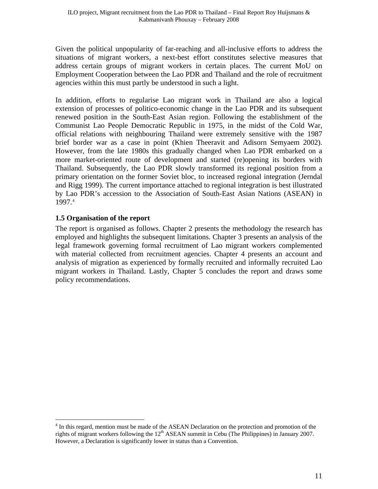Given the political unpopularity of far-reaching and all-inclusive efforts to address the situations of migrant workers, a next-best effort constitutes selective measures that address certain groups of migrant workers in certain places. The current MoU on Employment Cooperation between the Lao PDR and Thailand and the role of recruitment agencies within this must partly be understood in such a light.

In addition, efforts to regularise Lao migrant work in Thailand are also a logical extension of processes of politico-economic change in the Lao PDR and its subsequent renewed position in the South-East Asian region. Following the establishment of the Communist Lao People Democratic Republic in 1975, in the midst of the Cold War, official relations with neighbouring Thailand were extremely sensitive with the 1987 brief border war as a case in point (Khien Theeravit and Adisorn Semyaem 2002). However, from the late 1980s this gradually changed when Lao PDR embarked on a more market-oriented route of development and started (re)opening its borders with Thailand. Subsequently, the Lao PDR slowly transformed its regional position from a primary orientation on the former Soviet bloc, to increased regional integration (Jerndal and Rigg 1999). The current importance attached to regional integration is best illustrated by Lao PDR's accession to the Association of South-East Asian Nations (ASEAN) in 1997.[4](#page-10-1)

### <span id="page-10-0"></span>**1.5 Organisation of the report**

 $\overline{a}$ 

The report is organised as follows. Chapter 2 presents the methodology the research has employed and highlights the subsequent limitations. Chapter 3 presents an analysis of the legal framework governing formal recruitment of Lao migrant workers complemented with material collected from recruitment agencies. Chapter 4 presents an account and analysis of migration as experienced by formally recruited and informally recruited Lao migrant workers in Thailand. Lastly, Chapter 5 concludes the report and draws some policy recommendations.

<span id="page-10-1"></span><sup>&</sup>lt;sup>4</sup> In this regard, mention must be made of the ASEAN Declaration on the protection and promotion of the rights of migrant workers following the  $12<sup>th</sup>$  ASEAN summit in Cebu (The Philippines) in January 2007. However, a Declaration is significantly lower in status than a Convention.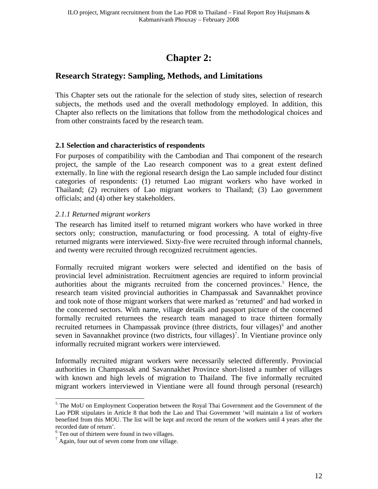# **Chapter 2:**

## <span id="page-11-1"></span><span id="page-11-0"></span>**Research Strategy: Sampling, Methods, and Limitations**

This Chapter sets out the rationale for the selection of study sites, selection of research subjects, the methods used and the overall methodology employed. In addition, this Chapter also reflects on the limitations that follow from the methodological choices and from other constraints faced by the research team.

#### <span id="page-11-2"></span>**2.1 Selection and characteristics of respondents**

For purposes of compatibility with the Cambodian and Thai component of the research project, the sample of the Lao research component was to a great extent defined externally. In line with the regional research design the Lao sample included four distinct categories of respondents: (1) returned Lao migrant workers who have worked in Thailand; (2) recruiters of Lao migrant workers to Thailand; (3) Lao government officials; and (4) other key stakeholders.

#### <span id="page-11-3"></span>*2.1.1 Returned migrant workers*

The research has limited itself to returned migrant workers who have worked in three sectors only; construction, manufacturing or food processing. A total of eighty-five returned migrants were interviewed. Sixty-five were recruited through informal channels, and twenty were recruited through recognized recruitment agencies.

Formally recruited migrant workers were selected and identified on the basis of provincial level administration. Recruitment agencies are required to inform provincial authorities about the migrants recruited from the concerned provinces.<sup>[5](#page-11-4)</sup> Hence, the research team visited provincial authorities in Champassak and Savannakhet province and took note of those migrant workers that were marked as 'returned' and had worked in the concerned sectors. With name, village details and passport picture of the concerned formally recruited returnees the research team managed to trace thirteen formally recruited returnees in Champassak province (three districts, four villages)<sup>[6](#page-11-5)</sup> and another seven in Savannakhet province (two districts, four villages)<sup>[7](#page-11-6)</sup>. In Vientiane province only informally recruited migrant workers were interviewed.

Informally recruited migrant workers were necessarily selected differently. Provincial authorities in Champassak and Savannakhet Province short-listed a number of villages with known and high levels of migration to Thailand. The five informally recruited migrant workers interviewed in Vientiane were all found through personal (research)

<span id="page-11-4"></span><sup>&</sup>lt;sup>5</sup> The MoU on Employment Cooperation between the Royal Thai Government and the Government of the Lao PDR stipulates in Article 8 that both the Lao and Thai Government 'will maintain a list of workers benefited from this MOU. The list will be kept and record the return of the workers until 4 years after the recorded date of return'.

<span id="page-11-5"></span><sup>&</sup>lt;sup>6</sup> Ten out of thirteen were found in two villages.

<span id="page-11-6"></span><sup>&</sup>lt;sup>7</sup> Again, four out of seven come from one village.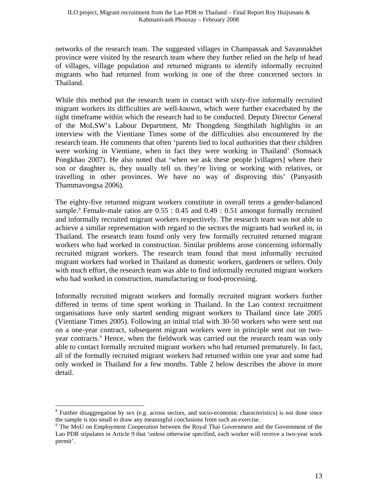networks of the research team. The suggested villages in Champassak and Savannakhet province were visited by the research team where they further relied on the help of head of villages, village population and returned migrants to identify informally recruited migrants who had returned from working in one of the three concerned sectors in Thailand.

While this method put the research team in contact with sixty-five informally recruited migrant workers its difficulties are well-known, which were further exacerbated by the tight timeframe within which the research had to be conducted. Deputy Director General of the MoLSW's Labour Department, Mr Thongdeng Singthilath highlights in an interview with the Vientiane Times some of the difficulties also encountered by the research team. He comments that often 'parents lied to local authorities that their children were working in Vientiane, when in fact they were working in Thailand' (Somsack Pongkhao 2007). He also noted that 'when we ask these people [villagers] where their son or daughter is, they usually tell us they're living or working with relatives, or travelling in other provinces. We have no way of disproving this' (Panyasith Thammavongsa 2006).

The eighty-five returned migrant workers constitute in overall terms a gender-balanced sample.<sup>[8](#page-12-0)</sup> Female-male ratios are  $0.55 : 0.45$  and  $0.49 : 0.51$  amongst formally recruited and informally recruited migrant workers respectively. The research team was not able to achieve a similar representation with regard to the sectors the migrants had worked in, in Thailand. The research team found only very few formally recruited returned migrant workers who had worked in construction. Similar problems arose concerning informally recruited migrant workers. The research team found that most informally recruited migrant workers had worked in Thailand as domestic workers, gardeners or sellers. Only with much effort, the research team was able to find informally recruited migrant workers who had worked in construction, manufacturing or food-processing.

Informally recruited migrant workers and formally recruited migrant workers further differed in terms of time spent working in Thailand. In the Lao context recruitment organisations have only started sending migrant workers to Thailand since late 2005 (Vientiane Times 2005). Following an initial trial with 30-50 workers who were sent out on a one-year contract, subsequent migrant workers were in principle sent out on two-year contracts.<sup>[9](#page-12-1)</sup> Hence, when the fieldwork was carried out the research team was only able to contact formally recruited migrant workers who had returned prematurely. In fact, all of the formally recruited migrant workers had returned within one year and some had only worked in Thailand for a few months. Table 2 below describes the above in more detail.

<span id="page-12-0"></span><sup>&</sup>lt;sup>8</sup> Further disaggregation by sex (e.g. across sectors, and socio-economic characteristics) is not done since the sample is too small to draw any meaningful conclusions from such an exercise.

<span id="page-12-1"></span><sup>&</sup>lt;sup>9</sup> The MoU on Employment Cooperation between the Royal Thai Government and the Government of the Lao PDR stipulates in Article 9 that 'unless otherwise specified, each worker will receive a two-year work permit'.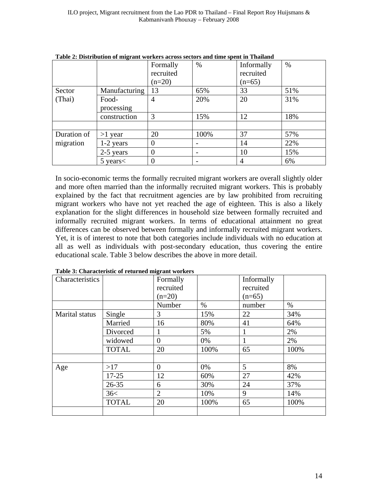|             |               | Formally       | $\%$ | Informally     | $\%$ |
|-------------|---------------|----------------|------|----------------|------|
|             |               | recruited      |      | recruited      |      |
|             |               | $(n=20)$       |      | $(n=65)$       |      |
| Sector      | Manufacturing | 13             | 65%  | 33             | 51%  |
| (Thai)      | Food-         | 4              | 20%  | 20             | 31%  |
|             | processing    |                |      |                |      |
|             | construction  | 3              | 15%  | 12             | 18%  |
|             |               |                |      |                |      |
| Duration of | $>1$ year     | 20             | 100% | 37             | 57%  |
| migration   | 1-2 years     | $\Omega$       |      | 14             | 22%  |
|             | 2-5 years     | $\theta$       |      | 10             | 15%  |
|             | $5$ years $<$ | $\overline{0}$ |      | $\overline{4}$ | 6%   |

**Table 2: Distribution of migrant workers across sectors and time spent in Thailand** 

In socio-economic terms the formally recruited migrant workers are overall slightly older and more often married than the informally recruited migrant workers. This is probably explained by the fact that recruitment agencies are by law prohibited from recruiting migrant workers who have not yet reached the age of eighteen. This is also a likely explanation for the slight differences in household size between formally recruited and informally recruited migrant workers. In terms of educational attainment no great differences can be observed between formally and informally recruited migrant workers. Yet, it is of interest to note that both categories include individuals with no education at all as well as individuals with post-secondary education, thus covering the entire educational scale. Table 3 below describes the above in more detail.

| Characteristics |              | Formally       |      | Informally   |      |
|-----------------|--------------|----------------|------|--------------|------|
|                 |              | recruited      |      | recruited    |      |
|                 |              | $(n=20)$       |      | $(n=65)$     |      |
|                 |              | Number         | $\%$ | number       | $\%$ |
| Marital status  | Single       | 3              | 15%  | 22           | 34%  |
|                 | Married      | 16             | 80%  | 41           | 64%  |
|                 | Divorced     |                | 5%   | $\mathbf{1}$ | 2%   |
|                 | widowed      | 0              | 0%   |              | 2%   |
|                 | <b>TOTAL</b> | 20             | 100% | 65           | 100% |
|                 |              |                |      |              |      |
| Age             | >17          | $\overline{0}$ | 0%   | 5            | 8%   |
|                 | $17 - 25$    | 12             | 60%  | 27           | 42%  |
|                 | $26 - 35$    | 6              | 30%  | 24           | 37%  |
|                 | 36<          | $\overline{2}$ | 10%  | 9            | 14%  |
|                 | <b>TOTAL</b> | 20             | 100% | 65           | 100% |
|                 |              |                |      |              |      |

**Table 3: Characteristic of returned migrant workers**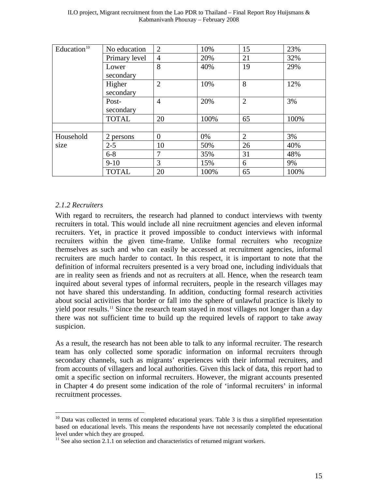| Education <sup>10</sup> | No education  | $\overline{2}$ | 10%  | 15             | 23%  |
|-------------------------|---------------|----------------|------|----------------|------|
|                         | Primary level | $\overline{4}$ | 20%  | 21             | 32%  |
|                         | Lower         | 8              | 40%  | 19             | 29%  |
|                         | secondary     |                |      |                |      |
|                         | Higher        | $\overline{2}$ | 10%  | 8              | 12%  |
|                         | secondary     |                |      |                |      |
|                         | Post-         | $\overline{4}$ | 20%  | $\overline{2}$ | 3%   |
|                         | secondary     |                |      |                |      |
|                         | <b>TOTAL</b>  | 20             | 100% | 65             | 100% |
|                         |               |                |      |                |      |
| Household               | 2 persons     | $\overline{0}$ | 0%   | $\overline{2}$ | 3%   |
| size                    | $2 - 5$       | 10             | 50%  | 26             | 40%  |
|                         | $6 - 8$       | 7              | 35%  | 31             | 48%  |
|                         | $9-10$        | 3              | 15%  | 6              | 9%   |
|                         | <b>TOTAL</b>  | 20             | 100% | 65             | 100% |

### <span id="page-14-0"></span>*2.1.2 Recruiters*

 $\overline{a}$ 

With regard to recruiters, the research had planned to conduct interviews with twenty recruiters in total. This would include all nine recruitment agencies and eleven informal recruiters. Yet, in practice it proved impossible to conduct interviews with informal recruiters within the given time-frame. Unlike formal recruiters who recognize themselves as such and who can easily be accessed at recruitment agencies, informal recruiters are much harder to contact. In this respect, it is important to note that the definition of informal recruiters presented is a very broad one, including individuals that are in reality seen as friends and not as recruiters at all. Hence, when the research team inquired about several types of informal recruiters, people in the research villages may not have shared this understanding. In addition, conducting formal research activities about social activities that border or fall into the sphere of unlawful practice is likely to yield poor results.<sup>11</sup> Since the research team stayed in most villages not longer than a day there was not sufficient time to build up the required levels of rapport to take away suspicion.

As a result, the research has not been able to talk to any informal recruiter. The research team has only collected some sporadic information on informal recruiters through secondary channels, such as migrants' experiences with their informal recruiters, and from accounts of villagers and local authorities. Given this lack of data, this report had to omit a specific section on informal recruiters. However, the migrant accounts presented in Chapter 4 do present some indication of the role of 'informal recruiters' in informal recruitment processes.

<span id="page-14-1"></span> $10$  Data was collected in terms of completed educational years. Table 3 is thus a simplified representation based on educational levels. This means the respondents have not necessarily completed the educational level under which they are grouped.

<span id="page-14-2"></span> $11$  See also section 2.1.1 on selection and characteristics of returned migrant workers.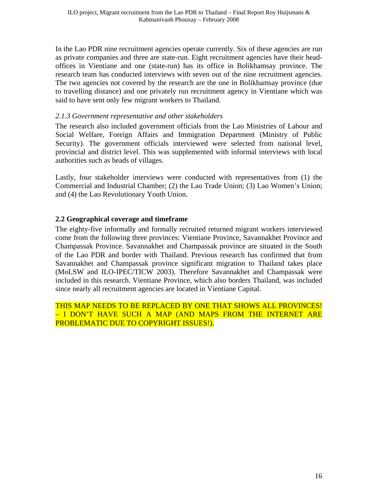In the Lao PDR nine recruitment agencies operate currently. Six of these agencies are run as private companies and three are state-run. Eight recruitment agencies have their headoffices in Vientiane and one (state-run) has its office in Bolikhamsay province. The research team has conducted interviews with seven out of the nine recruitment agencies. The two agencies not covered by the research are the one in Bolikhamsay province (due to travelling distance) and one privately run recruitment agency in Vientiane which was said to have sent only few migrant workers to Thailand.

#### <span id="page-15-0"></span>*2.1.3 Government representative and other stakeholders*

The research also included government officials from the Lao Ministries of Labour and Social Welfare, Foreign Affairs and Immigration Department (Ministry of Public Security). The government officials interviewed were selected from national level, provincial and district level. This was supplemented with informal interviews with local authorities such as heads of villages.

Lastly, four stakeholder interviews were conducted with representatives from (1) the Commercial and Industrial Chamber; (2) the Lao Trade Union; (3) Lao Women's Union; and (4) the Lao Revolutionary Youth Union.

### <span id="page-15-1"></span>**2.2 Geographical coverage and timeframe**

The eighty-five informally and formally recruited returned migrant workers interviewed come from the following three provinces: Vientiane Province, Savannakhet Province and Champassak Province. Savannakhet and Champassak province are situated in the South of the Lao PDR and border with Thailand. Previous research has confirmed that from Savannakhet and Champassak province significant migration to Thailand takes place (MoLSW and ILO-IPEC/TICW 2003). Therefore Savannakhet and Champassak were included in this research. Vientiane Province, which also borders Thailand, was included since nearly all recruitment agencies are located in Vientiane Capital.

THIS MAP NEEDS TO BE REPLACED BY ONE THAT SHOWS ALL PROVINCES! – I DON'T HAVE SUCH A MAP (AND MAPS FROM THE INTERNET ARE PROBLEMATIC DUE TO COPYRIGHT ISSUES!).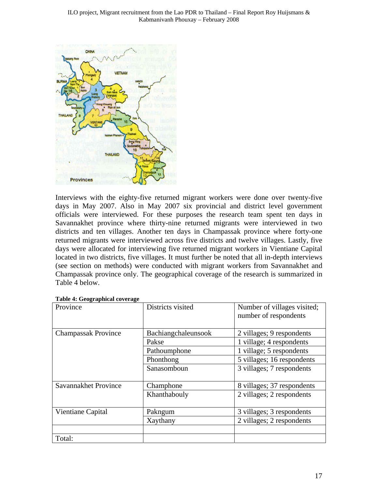

Interviews with the eighty-five returned migrant workers were done over twenty-five days in May 2007. Also in May 2007 six provincial and district level government officials were interviewed. For these purposes the research team spent ten days in Savannakhet province where thirty-nine returned migrants were interviewed in two districts and ten villages. Another ten days in Champassak province where forty-one returned migrants were interviewed across five districts and twelve villages. Lastly, five days were allocated for interviewing five returned migrant workers in Vientiane Capital located in two districts, five villages. It must further be noted that all in-depth interviews (see section on methods) were conducted with migrant workers from Savannakhet and Champassak province only. The geographical coverage of the research is summarized in Table 4 below.

| Province                   | Districts visited   | Number of villages visited;<br>number of respondents |
|----------------------------|---------------------|------------------------------------------------------|
| <b>Champassak Province</b> | Bachiangchaleunsook | 2 villages; 9 respondents                            |
|                            | Pakse               | 1 village; 4 respondents                             |
|                            | Pathoumphone        | 1 village; 5 respondents                             |
|                            | Phonthong           | 5 villages; 16 respondents                           |
|                            | Sanasomboun         | 3 villages; 7 respondents                            |
| Savannakhet Province       | Champhone           | 8 villages; 37 respondents                           |
|                            | Khanthabouly        | 2 villages; 2 respondents                            |
| Vientiane Capital          | Pakngum             | 3 villages; 3 respondents                            |
|                            | Xaythany            | 2 villages; 2 respondents                            |
|                            |                     |                                                      |
| Total:                     |                     |                                                      |

#### **Table 4: Geographical coverage**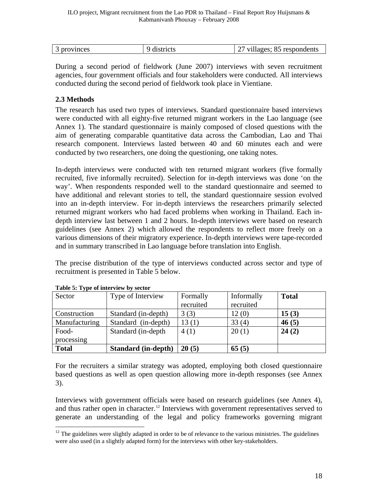| $\overline{\phantom{0}}$ | ovinces<br>ור<br>$\tilde{\phantom{a}}$ | 0.000000<br>$-100$ | respon<br>ondents<br><b>x</b> 74<br>$.1180e^{0.1}$ |
|--------------------------|----------------------------------------|--------------------|----------------------------------------------------|
|                          |                                        |                    |                                                    |

During a second period of fieldwork (June 2007) interviews with seven recruitment agencies, four government officials and four stakeholders were conducted. All interviews conducted during the second period of fieldwork took place in Vientiane.

## <span id="page-17-0"></span>**2.3 Methods**

The research has used two types of interviews. Standard questionnaire based interviews were conducted with all eighty-five returned migrant workers in the Lao language (see Annex 1). The standard questionnaire is mainly composed of closed questions with the aim of generating comparable quantitative data across the Cambodian, Lao and Thai research component. Interviews lasted between 40 and 60 minutes each and were conducted by two researchers, one doing the questioning, one taking notes.

In-depth interviews were conducted with ten returned migrant workers (five formally recruited, five informally recruited). Selection for in-depth interviews was done 'on the way'. When respondents responded well to the standard questionnaire and seemed to have additional and relevant stories to tell, the standard questionnaire session evolved into an in-depth interview. For in-depth interviews the researchers primarily selected returned migrant workers who had faced problems when working in Thailand. Each indepth interview last between 1 and 2 hours. In-depth interviews were based on research guidelines (see Annex 2) which allowed the respondents to reflect more freely on a various dimensions of their migratory experience. In-depth interviews were tape-recorded and in summary transcribed in Lao language before translation into English.

The precise distribution of the type of interviews conducted across sector and type of recruitment is presented in Table 5 below.

| Sector        | Type of Interview          | Formally  | Informally | <b>Total</b> |
|---------------|----------------------------|-----------|------------|--------------|
|               |                            | recruited | recruited  |              |
| Construction  | Standard (in-depth)        | 3(3)      | 12(0)      | 15(3)        |
| Manufacturing | Standard (in-depth)        | 13(1)     | 33(4)      | 46(5)        |
| Food-         | Standard (in-depth)        | 4(1)      | 20(1)      | 24(2)        |
| processing    |                            |           |            |              |
| <b>Total</b>  | <b>Standard</b> (in-depth) | 20(5)     | 65(5)      |              |

**Table 5: Type of interview by sector** 

 $\overline{a}$ 

For the recruiters a similar strategy was adopted, employing both closed questionnaire based questions as well as open question allowing more in-depth responses (see Annex 3).

Interviews with government officials were based on research guidelines (see Annex 4), and thus rather open in character.<sup>[12](#page-17-1)</sup> Interviews with government representatives served to generate an understanding of the legal and policy frameworks governing migrant

<span id="page-17-1"></span><sup>&</sup>lt;sup>12</sup> The guidelines were slightly adapted in order to be of relevance to the various ministries. The guidelines were also used (in a slightly adapted form) for the interviews with other key-stakeholders.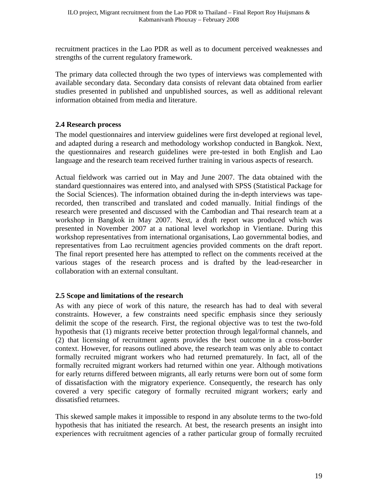recruitment practices in the Lao PDR as well as to document perceived weaknesses and strengths of the current regulatory framework.

The primary data collected through the two types of interviews was complemented with available secondary data. Secondary data consists of relevant data obtained from earlier studies presented in published and unpublished sources, as well as additional relevant information obtained from media and literature.

## <span id="page-18-0"></span>**2.4 Research process**

The model questionnaires and interview guidelines were first developed at regional level, and adapted during a research and methodology workshop conducted in Bangkok. Next, the questionnaires and research guidelines were pre-tested in both English and Lao language and the research team received further training in various aspects of research.

Actual fieldwork was carried out in May and June 2007. The data obtained with the standard questionnaires was entered into, and analysed with SPSS (Statistical Package for the Social Sciences). The information obtained during the in-depth interviews was taperecorded, then transcribed and translated and coded manually. Initial findings of the research were presented and discussed with the Cambodian and Thai research team at a workshop in Bangkok in May 2007. Next, a draft report was produced which was presented in November 2007 at a national level workshop in Vientiane. During this workshop representatives from international organisations, Lao governmental bodies, and representatives from Lao recruitment agencies provided comments on the draft report. The final report presented here has attempted to reflect on the comments received at the various stages of the research process and is drafted by the lead-researcher in collaboration with an external consultant.

### <span id="page-18-1"></span>**2.5 Scope and limitations of the research**

As with any piece of work of this nature, the research has had to deal with several constraints. However, a few constraints need specific emphasis since they seriously delimit the scope of the research. First, the regional objective was to test the two-fold hypothesis that (1) migrants receive better protection through legal/formal channels, and (2) that licensing of recruitment agents provides the best outcome in a cross-border context. However, for reasons outlined above, the research team was only able to contact formally recruited migrant workers who had returned prematurely. In fact, all of the formally recruited migrant workers had returned within one year. Although motivations for early returns differed between migrants, all early returns were born out of some form of dissatisfaction with the migratory experience. Consequently, the research has only covered a very specific category of formally recruited migrant workers; early and dissatisfied returnees.

This skewed sample makes it impossible to respond in any absolute terms to the two-fold hypothesis that has initiated the research. At best, the research presents an insight into experiences with recruitment agencies of a rather particular group of formally recruited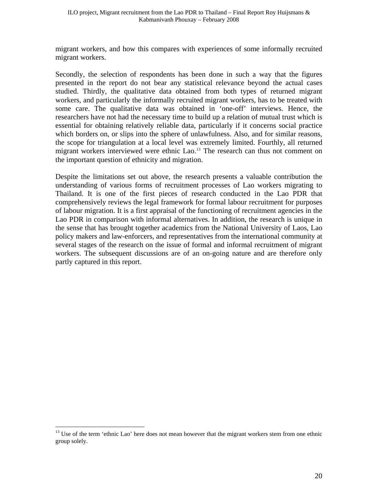migrant workers, and how this compares with experiences of some informally recruited migrant workers.

Secondly, the selection of respondents has been done in such a way that the figures presented in the report do not bear any statistical relevance beyond the actual cases studied. Thirdly, the qualitative data obtained from both types of returned migrant workers, and particularly the informally recruited migrant workers, has to be treated with some care. The qualitative data was obtained in 'one-off' interviews. Hence, the researchers have not had the necessary time to build up a relation of mutual trust which is essential for obtaining relatively reliable data, particularly if it concerns social practice which borders on, or slips into the sphere of unlawfulness. Also, and for similar reasons, the scope for triangulation at a local level was extremely limited. Fourthly, all returned migrant workers interviewed were ethnic Lao.<sup>[13](#page-19-0)</sup> The research can thus not comment on the important question of ethnicity and migration.

Despite the limitations set out above, the research presents a valuable contribution the understanding of various forms of recruitment processes of Lao workers migrating to Thailand. It is one of the first pieces of research conducted in the Lao PDR that comprehensively reviews the legal framework for formal labour recruitment for purposes of labour migration. It is a first appraisal of the functioning of recruitment agencies in the Lao PDR in comparison with informal alternatives. In addition, the research is unique in the sense that has brought together academics from the National University of Laos, Lao policy makers and law-enforcers, and representatives from the international community at several stages of the research on the issue of formal and informal recruitment of migrant workers. The subsequent discussions are of an on-going nature and are therefore only partly captured in this report.

<span id="page-19-0"></span> $13$  Use of the term 'ethnic Lao' here does not mean however that the migrant workers stem from one ethnic group solely.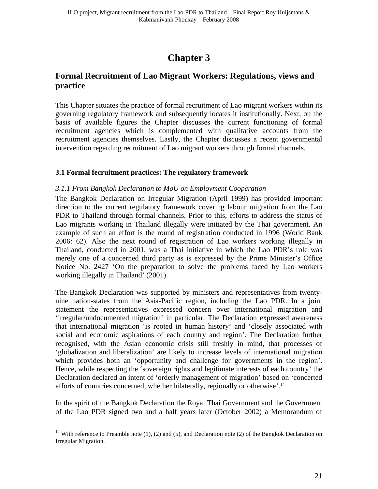# **Chapter 3**

## <span id="page-20-1"></span><span id="page-20-0"></span>**Formal Recruitment of Lao Migrant Workers: Regulations, views and practice**

This Chapter situates the practice of formal recruitment of Lao migrant workers within its governing regulatory framework and subsequently locates it institutionally. Next, on the basis of available figures the Chapter discusses the current functioning of formal recruitment agencies which is complemented with qualitative accounts from the recruitment agencies themselves. Lastly, the Chapter discusses a recent governmental intervention regarding recruitment of Lao migrant workers through formal channels.

#### <span id="page-20-2"></span>**3.1 Formal fecruitment practices: The regulatory framework**

#### <span id="page-20-3"></span>*3.1.1 From Bangkok Declaration to MoU on Employment Cooperation*

The Bangkok Declaration on Irregular Migration (April 1999) has provided important direction to the current regulatory framework covering labour migration from the Lao PDR to Thailand through formal channels. Prior to this, efforts to address the status of Lao migrants working in Thailand illegally were initiated by the Thai government. An example of such an effort is the round of registration conducted in 1996 (World Bank 2006: 62). Also the next round of registration of Lao workers working illegally in Thailand, conducted in 2001, was a Thai initiative in which the Lao PDR's role was merely one of a concerned third party as is expressed by the Prime Minister's Office Notice No. 2427 'On the preparation to solve the problems faced by Lao workers working illegally in Thailand' (2001).

The Bangkok Declaration was supported by ministers and representatives from twentynine nation-states from the Asia-Pacific region, including the Lao PDR. In a joint statement the representatives expressed concern over international migration and 'irregular/undocumented migration' in particular. The Declaration expressed awareness that international migration 'is rooted in human history' and 'closely associated with social and economic aspirations of each country and region'. The Declaration further recognised, with the Asian economic crisis still freshly in mind, that processes of 'globalization and liberalization' are likely to increase levels of international migration which provides both an 'opportunity and challenge for governments in the region'. Hence, while respecting the 'sovereign rights and legitimate interests of each country' the Declaration declared an intent of 'orderly management of migration' based on 'concerted efforts of countries concerned, whether bilaterally, regionally or otherwise'.<sup>[14](#page-20-4)</sup>

In the spirit of the Bangkok Declaration the Royal Thai Government and the Government of the Lao PDR signed two and a half years later (October 2002) a Memorandum of

<span id="page-20-4"></span><sup>&</sup>lt;sup>14</sup> With reference to Preamble note  $(1)$ ,  $(2)$  and  $(5)$ , and Declaration note  $(2)$  of the Bangkok Declaration on Irregular Migration.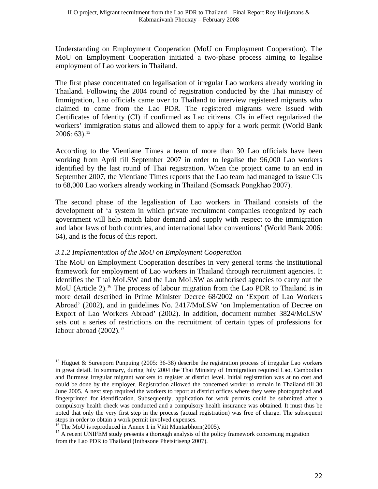Understanding on Employment Cooperation (MoU on Employment Cooperation). The MoU on Employment Cooperation initiated a two-phase process aiming to legalise employment of Lao workers in Thailand.

The first phase concentrated on legalisation of irregular Lao workers already working in Thailand. Following the 2004 round of registration conducted by the Thai ministry of Immigration, Lao officials came over to Thailand to interview registered migrants who claimed to come from the Lao PDR. The registered migrants were issued with Certificates of Identity (CI) if confirmed as Lao citizens. CIs in effect regularized the workers' immigration status and allowed them to apply for a work permit (World Bank  $2006: 63$ ).<sup>[15](#page-21-1)</sup>

According to the Vientiane Times a team of more than 30 Lao officials have been working from April till September 2007 in order to legalise the 96,000 Lao workers identified by the last round of Thai registration. When the project came to an end in September 2007, the Vientiane Times reports that the Lao team had managed to issue CIs to 68,000 Lao workers already working in Thailand (Somsack Pongkhao 2007).

The second phase of the legalisation of Lao workers in Thailand consists of the development of 'a system in which private recruitment companies recognized by each government will help match labor demand and supply with respect to the immigration and labor laws of both countries, and international labor conventions' (World Bank 2006: 64), and is the focus of this report.

### <span id="page-21-0"></span>*3.1.2 Implementation of the MoU on Employment Cooperation*

The MoU on Employment Cooperation describes in very general terms the institutional framework for employment of Lao workers in Thailand through recruitment agencies. It identifies the Thai MoLSW and the Lao MoLSW as authorised agencies to carry out the MoU (Article 2).<sup>[16](#page-21-2)</sup> The process of labour migration from the Lao PDR to Thailand is in more detail described in Prime Minister Decree 68/2002 on 'Export of Lao Workers Abroad' (2002), and in guidelines No. 2417/MoLSW 'on Implementation of Decree on Export of Lao Workers Abroad' (2002). In addition, document number 3824/MoLSW sets out a series of restrictions on the recruitment of certain types of professions for labour abroad  $(2002).<sup>17</sup>$  $(2002).<sup>17</sup>$  $(2002).<sup>17</sup>$ 

<span id="page-21-1"></span><sup>&</sup>lt;sup>15</sup> Huguet & Sureeporn Punpuing (2005: 36-38) describe the registration process of irregular Lao workers in great detail. In summary, during July 2004 the Thai Ministry of Immigration required Lao, Cambodian and Burmese irregular migrant workers to register at district level. Initial registration was at no cost and could be done by the employer. Registration allowed the concerned worker to remain in Thailand till 30 June 2005. A next step required the workers to report at district offices where they were photographed and fingerprinted for identification. Subsequently, application for work permits could be submitted after a compulsory health check was conducted and a compulsory health insurance was obtained. It must thus be noted that only the very first step in the process (actual registration) was free of charge. The subsequent steps in order to obtain a work permit involved expenses.

<span id="page-21-2"></span><sup>&</sup>lt;sup>16</sup> The MoU is reproduced in Annex 1 in Vitit Muntarbhorn(2005).

<span id="page-21-3"></span><sup>&</sup>lt;sup>17</sup> A recent UNIFEM study presents a thorough analysis of the policy framework concerning migration from the Lao PDR to Thailand (Inthasone Phetsiriseng 2007).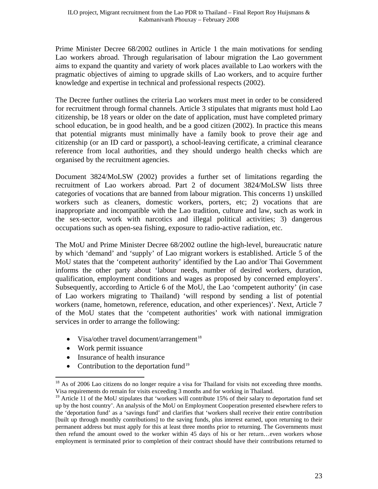Prime Minister Decree 68/2002 outlines in Article 1 the main motivations for sending Lao workers abroad. Through regularisation of labour migration the Lao government aims to expand the quantity and variety of work places available to Lao workers with the pragmatic objectives of aiming to upgrade skills of Lao workers, and to acquire further knowledge and expertise in technical and professional respects (2002).

The Decree further outlines the criteria Lao workers must meet in order to be considered for recruitment through formal channels. Article 3 stipulates that migrants must hold Lao citizenship, be 18 years or older on the date of application, must have completed primary school education, be in good health, and be a good citizen (2002). In practice this means that potential migrants must minimally have a family book to prove their age and citizenship (or an ID card or passport), a school-leaving certificate, a criminal clearance reference from local authorities, and they should undergo health checks which are organised by the recruitment agencies.

Document 3824/MoLSW (2002) provides a further set of limitations regarding the recruitment of Lao workers abroad. Part 2 of document 3824/MoLSW lists three categories of vocations that are banned from labour migration. This concerns 1) unskilled workers such as cleaners, domestic workers, porters, etc; 2) vocations that are inappropriate and incompatible with the Lao tradition, culture and law, such as work in the sex-sector, work with narcotics and illegal political activities; 3) dangerous occupations such as open-sea fishing, exposure to radio-active radiation, etc.

The MoU and Prime Minister Decree 68/2002 outline the high-level, bureaucratic nature by which 'demand' and 'supply' of Lao migrant workers is established. Article 5 of the MoU states that the 'competent authority' identified by the Lao and/or Thai Government informs the other party about 'labour needs, number of desired workers, duration, qualification, employment conditions and wages as proposed by concerned employers'. Subsequently, according to Article 6 of the MoU, the Lao 'competent authority' (in case of Lao workers migrating to Thailand) 'will respond by sending a list of potential workers (name, hometown, reference, education, and other experiences)'. Next, Article 7 of the MoU states that the 'competent authorities' work with national immigration services in order to arrange the following:

- Visa/other travel document/arrangement<sup>[18](#page-22-0)</sup>
- Work permit issuance

- Insurance of health insurance
- Contribution to the deportation fund<sup>[19](#page-22-1)</sup>

<span id="page-22-0"></span><sup>&</sup>lt;sup>18</sup> As of 2006 Lao citizens do no longer require a visa for Thailand for visits not exceeding three months. Visa requirements do remain for visits exceeding 3 months and for working in Thailand.

<span id="page-22-1"></span><sup>&</sup>lt;sup>19</sup> Article 11 of the MoU stipulates that 'workers will contribute 15% of their salary to deportation fund set up by the host country'. An analysis of the MoU on Employment Cooperation presented elsewhere refers to the 'deportation fund' as a 'savings fund' and clarifies that 'workers shall receive their entire contribution [built up through monthly contributions] to the saving funds, plus interest earned, upon returning to their permanent address but must apply for this at least three months prior to returning. The Governments must then refund the amount owed to the worker within 45 days of his or her return…even workers whose employment is terminated prior to completion of their contract should have their contributions returned to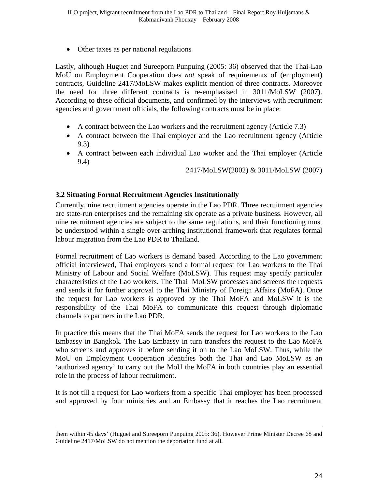Other taxes as per national regulations

Lastly, although Huguet and Sureeporn Punpuing (2005: 36) observed that the Thai-Lao MoU on Employment Cooperation does *not* speak of requirements of (employment) contracts, Guideline 2417/MoLSW makes explicit mention of three contracts. Moreover the need for three different contracts is re-emphasised in 3011/MoLSW (2007). According to these official documents, and confirmed by the interviews with recruitment agencies and government officials, the following contracts must be in place:

- A contract between the Lao workers and the recruitment agency (Article 7.3)
- A contract between the Thai employer and the Lao recruitment agency (Article 9.3)
- A contract between each individual Lao worker and the Thai employer (Article 9.4)

2417/MoLSW(2002) & 3011/MoLSW (2007)

### <span id="page-23-0"></span>**3.2 Situating Formal Recruitment Agencies Institutionally**

Currently, nine recruitment agencies operate in the Lao PDR. Three recruitment agencies are state-run enterprises and the remaining six operate as a private business. However, all nine recruitment agencies are subject to the same regulations, and their functioning must be understood within a single over-arching institutional framework that regulates formal labour migration from the Lao PDR to Thailand.

Formal recruitment of Lao workers is demand based. According to the Lao government official interviewed, Thai employers send a formal request for Lao workers to the Thai Ministry of Labour and Social Welfare (MoLSW). This request may specify particular characteristics of the Lao workers. The Thai MoLSW processes and screens the requests and sends it for further approval to the Thai Ministry of Foreign Affairs (MoFA). Once the request for Lao workers is approved by the Thai MoFA and MoLSW it is the responsibility of the Thai MoFA to communicate this request through diplomatic channels to partners in the Lao PDR.

In practice this means that the Thai MoFA sends the request for Lao workers to the Lao Embassy in Bangkok. The Lao Embassy in turn transfers the request to the Lao MoFA who screens and approves it before sending it on to the Lao MoLSW. Thus, while the MoU on Employment Cooperation identifies both the Thai and Lao MoLSW as an 'authorized agency' to carry out the MoU the MoFA in both countries play an essential role in the process of labour recruitment.

It is not till a request for Lao workers from a specific Thai employer has been processed and approved by four ministries and an Embassy that it reaches the Lao recruitment

them within 45 days' (Huguet and Sureeporn Punpuing 2005: 36). However Prime Minister Decree 68 and Guideline 2417/MoLSW do not mention the deportation fund at all.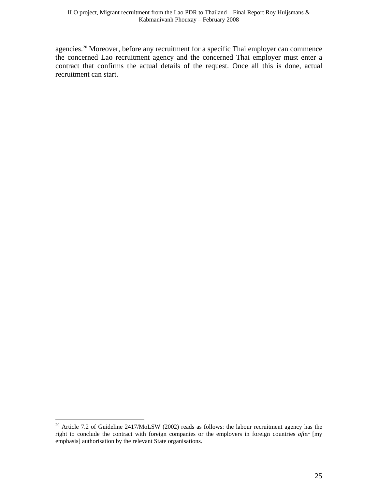agencies.<sup>[20](#page-24-0)</sup> Moreover, before any recruitment for a specific Thai employer can commence the concerned Lao recruitment agency and the concerned Thai employer must enter a contract that confirms the actual details of the request. Once all this is done, actual recruitment can start.

<span id="page-24-0"></span><sup>&</sup>lt;sup>20</sup> Article 7.2 of Guideline 2417/MoLSW (2002) reads as follows: the labour recruitment agency has the right to conclude the contract with foreign companies or the employers in foreign countries *after* [my emphasis] authorisation by the relevant State organisations.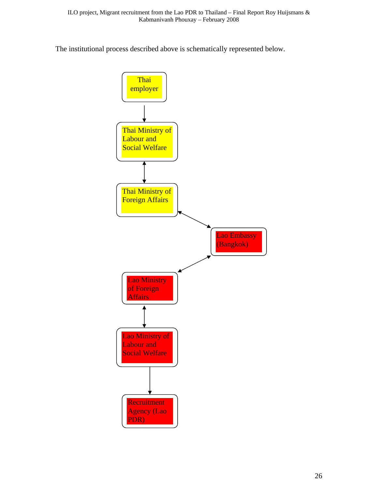The institutional process described above is schematically represented below.

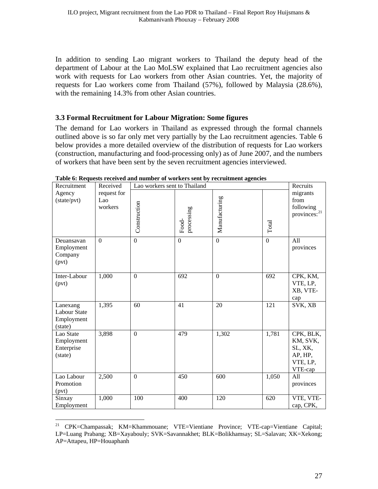In addition to sending Lao migrant workers to Thailand the deputy head of the department of Labour at the Lao MoLSW explained that Lao recruitment agencies also work with requests for Lao workers from other Asian countries. Yet, the majority of requests for Lao workers come from Thailand (57%), followed by Malaysia (28.6%), with the remaining 14.3% from other Asian countries.

#### <span id="page-26-0"></span>**3.3 Formal Recruitment for Labour Migration: Some figures**

The demand for Lao workers in Thailand as expressed through the formal channels outlined above is so far only met very partially by the Lao recruitment agencies. Table 6 below provides a more detailed overview of the distribution of requests for Lao workers (construction, manufacturing and food-processing only) as of June 2007, and the numbers of workers that have been sent by the seven recruitment agencies interviewed.

| Recruitment                                              | Received<br>Lao workers sent to Thailand |                  |                     |               |          | Recruits                                                           |
|----------------------------------------------------------|------------------------------------------|------------------|---------------------|---------------|----------|--------------------------------------------------------------------|
| Agency<br>(state/pvt)                                    | request for<br>Lao<br>workers            | Construction     | processing<br>Food- | Manufacturing | Total    | migrants<br>from<br>following<br>provinces: <sup>21</sup>          |
| Deuansavan<br>Employment<br>Company<br>(pvt)             | $\Omega$                                 | $\Omega$         | $\Omega$            | $\mathbf{0}$  | $\Omega$ | All<br>provinces                                                   |
| Inter-Labour<br>(pvt)                                    | 1,000                                    | $\mathbf{0}$     | 692                 | $\mathbf{0}$  | 692      | CPK, KM,<br>VTE, LP,<br>XB, VTE-<br>cap                            |
| Lanexang<br><b>Labour State</b><br>Employment<br>(state) | 1,395                                    | 60               | 41                  | 20            | 121      | SVK, XB                                                            |
| Lao State<br>Employment<br>Enterprise<br>(state)         | 3,898                                    | $\overline{0}$   | 479                 | 1,302         | 1,781    | CPK, BLK,<br>KM, SVK,<br>SL, XK,<br>AP, HP,<br>VTE, LP,<br>VTE-cap |
| Lao Labour<br>Promotion<br>(pvt)                         | 2,500                                    | $\boldsymbol{0}$ | 450                 | 600           | 1,050    | All<br>provinces                                                   |
| Sinxay<br>Employment                                     | 1,000                                    | 100              | 400                 | 120           | 620      | VTE, VTE-<br>cap, CPK,                                             |

**Table 6: Requests received and number of workers sent by recruitment agencies** 

<span id="page-26-1"></span><sup>21</sup> CPK=Champassak; KM=Khammouane; VTE=Vientiane Province; VTE-cap=Vientiane Capital; LP=Luang Prabang; XB=Xayabouly; SVK=Savannakhet; BLK=Bolikhamsay; SL=Salavan; XK=Xekong; AP=Attapeu, HP=Houaphanh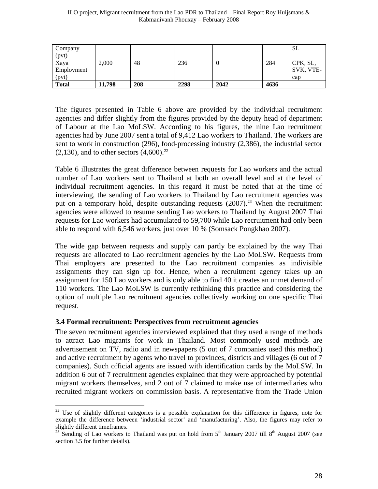| Company<br>(pvt)            |        |     |      |      |      | <b>SL</b>                    |
|-----------------------------|--------|-----|------|------|------|------------------------------|
| Xaya<br>Employment<br>(pvt) | 2,000  | 48  | 236  |      | 284  | CPK, SL,<br>SVK, VTE-<br>cap |
| <b>Total</b>                | 11.798 | 208 | 2298 | 2042 | 4636 |                              |

The figures presented in Table 6 above are provided by the individual recruitment agencies and differ slightly from the figures provided by the deputy head of department of Labour at the Lao MoLSW. According to his figures, the nine Lao recruitment agencies had by June 2007 sent a total of 9,412 Lao workers to Thailand. The workers are sent to work in construction (296), food-processing industry (2,386), the industrial sector  $(2,130)$ , and to other sectors  $(4,600)^{22}$  $(4,600)^{22}$  $(4,600)^{22}$ 

Table 6 illustrates the great difference between requests for Lao workers and the actual number of Lao workers sent to Thailand at both an overall level and at the level of individual recruitment agencies. In this regard it must be noted that at the time of interviewing, the sending of Lao workers to Thailand by Lao recruitment agencies was put on a temporary hold, despite outstanding requests  $(2007)$ <sup>[23](#page-27-2)</sup>. When the recruitment agencies were allowed to resume sending Lao workers to Thailand by August 2007 Thai requests for Lao workers had accumulated to 59,700 while Lao recruitment had only been able to respond with 6,546 workers, just over 10 % (Somsack Pongkhao 2007).

The wide gap between requests and supply can partly be explained by the way Thai requests are allocated to Lao recruitment agencies by the Lao MoLSW. Requests from Thai employers are presented to the Lao recruitment companies as indivisible assignments they can sign up for. Hence, when a recruitment agency takes up an assignment for 150 Lao workers and is only able to find 40 it creates an unmet demand of 110 workers. The Lao MoLSW is currently rethinking this practice and considering the option of multiple Lao recruitment agencies collectively working on one specific Thai request.

#### <span id="page-27-0"></span>**3.4 Formal recruitment: Perspectives from recruitment agencies**

 $\overline{a}$ 

The seven recruitment agencies interviewed explained that they used a range of methods to attract Lao migrants for work in Thailand. Most commonly used methods are advertisement on TV, radio and in newspapers (5 out of 7 companies used this method) and active recruitment by agents who travel to provinces, districts and villages (6 out of 7 companies). Such official agents are issued with identification cards by the MoLSW. In addition 6 out of 7 recruitment agencies explained that they were approached by potential migrant workers themselves, and 2 out of 7 claimed to make use of intermediaries who recruited migrant workers on commission basis. A representative from the Trade Union

<span id="page-27-1"></span><sup>&</sup>lt;sup>22</sup> Use of slightly different categories is a possible explanation for this difference in figures, note for example the difference between 'industrial sector' and 'manufacturing'. Also, the figures may refer to slightly different timeframes.

<span id="page-27-2"></span><sup>&</sup>lt;sup>23</sup> Sending of Lao workers to Thailand was put on hold from  $5<sup>th</sup>$  January 2007 till  $8<sup>th</sup>$  August 2007 (see section 3.5 for further details).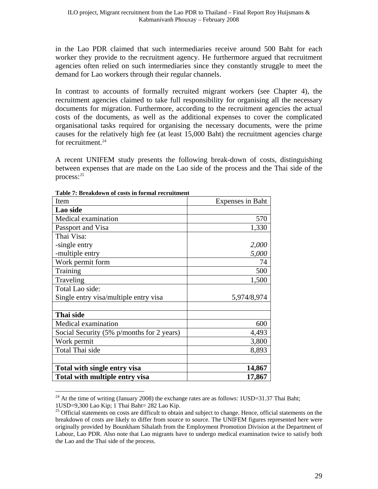in the Lao PDR claimed that such intermediaries receive around 500 Baht for each worker they provide to the recruitment agency. He furthermore argued that recruitment agencies often relied on such intermediaries since they constantly struggle to meet the demand for Lao workers through their regular channels.

In contrast to accounts of formally recruited migrant workers (see Chapter 4), the recruitment agencies claimed to take full responsibility for organising all the necessary documents for migration. Furthermore, according to the recruitment agencies the actual costs of the documents, as well as the additional expenses to cover the complicated organisational tasks required for organising the necessary documents, were the prime causes for the relatively high fee (at least 15,000 Baht) the recruitment agencies charge for recruitment. $24$ 

A recent UNIFEM study presents the following break-down of costs, distinguishing between expenses that are made on the Lao side of the process and the Thai side of the process:[25](#page-28-1)

| Item                                      | <b>Expenses in Baht</b> |
|-------------------------------------------|-------------------------|
| Lao side                                  |                         |
| Medical examination                       | 570                     |
| Passport and Visa                         | 1,330                   |
| Thai Visa:                                |                         |
| -single entry                             | 2,000                   |
| -multiple entry                           | 5,000                   |
| Work permit form                          | 74                      |
| Training                                  | 500                     |
| Traveling                                 | 1,500                   |
| Total Lao side:                           |                         |
| Single entry visa/multiple entry visa     | 5,974/8,974             |
|                                           |                         |
| Thai side                                 |                         |
| Medical examination                       | 600                     |
| Social Security (5% p/months for 2 years) | 4,493                   |
| Work permit                               | 3,800                   |
| Total Thai side                           | 8,893                   |
|                                           |                         |
| Total with single entry visa              | 14,867                  |
| Total with multiple entry visa            | 17,867                  |

**Table 7: Breakdown of costs in formal recruitment** 

<span id="page-28-0"></span><sup>&</sup>lt;sup>24</sup> At the time of writing (January 2008) the exchange rates are as follows:  $1USD=31.37$  Thai Baht; 1USD=9,300 Lao Kip; 1 Thai Baht= 282 Lao Kip.

<span id="page-28-1"></span><sup>&</sup>lt;sup>25</sup> Official statements on costs are difficult to obtain and subject to change. Hence, official statements on the breakdown of costs are likely to differ from source to source. The UNIFEM figures represented here were originally provided by Bounkham Sihalath from the Employment Promotion Division at the Department of Labour, Lao PDR. Also note that Lao migrants have to undergo medical examination twice to satisfy both the Lao and the Thai side of the process.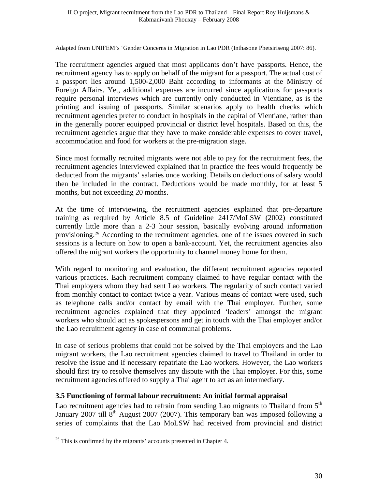Adapted from UNIFEM's 'Gender Concerns in Migration in Lao PDR (Inthasone Phetsiriseng 2007: 86).

The recruitment agencies argued that most applicants don't have passports. Hence, the recruitment agency has to apply on behalf of the migrant for a passport. The actual cost of a passport lies around 1,500-2,000 Baht according to informants at the Ministry of Foreign Affairs. Yet, additional expenses are incurred since applications for passports require personal interviews which are currently only conducted in Vientiane, as is the printing and issuing of passports. Similar scenarios apply to health checks which recruitment agencies prefer to conduct in hospitals in the capital of Vientiane, rather than in the generally poorer equipped provincial or district level hospitals. Based on this, the recruitment agencies argue that they have to make considerable expenses to cover travel, accommodation and food for workers at the pre-migration stage.

Since most formally recruited migrants were not able to pay for the recruitment fees, the recruitment agencies interviewed explained that in practice the fees would frequently be deducted from the migrants' salaries once working. Details on deductions of salary would then be included in the contract. Deductions would be made monthly, for at least 5 months, but not exceeding 20 months.

At the time of interviewing, the recruitment agencies explained that pre-departure training as required by Article 8.5 of Guideline 2417/MoLSW (2002) constituted currently little more than a 2-3 hour session, basically evolving around information provisioning.[26](#page-29-1) According to the recruitment agencies, one of the issues covered in such sessions is a lecture on how to open a bank-account. Yet, the recruitment agencies also offered the migrant workers the opportunity to channel money home for them.

With regard to monitoring and evaluation, the different recruitment agencies reported various practices. Each recruitment company claimed to have regular contact with the Thai employers whom they had sent Lao workers. The regularity of such contact varied from monthly contact to contact twice a year. Various means of contact were used, such as telephone calls and/or contact by email with the Thai employer. Further, some recruitment agencies explained that they appointed 'leaders' amongst the migrant workers who should act as spokespersons and get in touch with the Thai employer and/or the Lao recruitment agency in case of communal problems.

In case of serious problems that could not be solved by the Thai employers and the Lao migrant workers, the Lao recruitment agencies claimed to travel to Thailand in order to resolve the issue and if necessary repatriate the Lao workers. However, the Lao workers should first try to resolve themselves any dispute with the Thai employer. For this, some recruitment agencies offered to supply a Thai agent to act as an intermediary.

### <span id="page-29-0"></span>**3.5 Functioning of formal labour recruitment: An initial formal appraisal**

Lao recruitment agencies had to refrain from sending Lao migrants to Thailand from  $5<sup>th</sup>$ January 2007 till  $8<sup>th</sup>$  August 2007 (2007). This temporary ban was imposed following a series of complaints that the Lao MoLSW had received from provincial and district

<span id="page-29-1"></span> $26$  This is confirmed by the migrants' accounts presented in Chapter 4.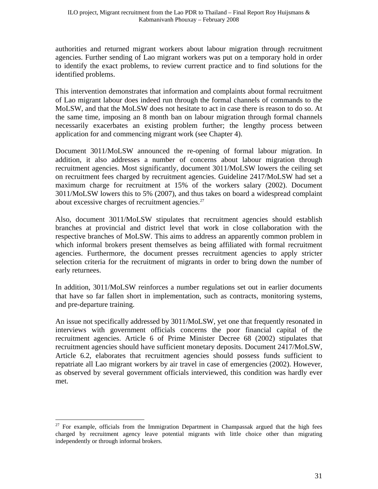authorities and returned migrant workers about labour migration through recruitment agencies. Further sending of Lao migrant workers was put on a temporary hold in order to identify the exact problems, to review current practice and to find solutions for the identified problems.

This intervention demonstrates that information and complaints about formal recruitment of Lao migrant labour does indeed run through the formal channels of commands to the MoLSW, and that the MoLSW does not hesitate to act in case there is reason to do so. At the same time, imposing an 8 month ban on labour migration through formal channels necessarily exacerbates an existing problem further; the lengthy process between application for and commencing migrant work (see Chapter 4).

Document 3011/MoLSW announced the re-opening of formal labour migration. In addition, it also addresses a number of concerns about labour migration through recruitment agencies. Most significantly, document 3011/MoLSW lowers the ceiling set on recruitment fees charged by recruitment agencies. Guideline 2417/MoLSW had set a maximum charge for recruitment at 15% of the workers salary (2002). Document 3011/MoLSW lowers this to 5% (2007), and thus takes on board a widespread complaint about excessive charges of recruitment agencies. $27$ 

Also, document 3011/MoLSW stipulates that recruitment agencies should establish branches at provincial and district level that work in close collaboration with the respective branches of MoLSW. This aims to address an apparently common problem in which informal brokers present themselves as being affiliated with formal recruitment agencies. Furthermore, the document presses recruitment agencies to apply stricter selection criteria for the recruitment of migrants in order to bring down the number of early returnees.

In addition, 3011/MoLSW reinforces a number regulations set out in earlier documents that have so far fallen short in implementation, such as contracts, monitoring systems, and pre-departure training.

An issue not specifically addressed by 3011/MoLSW, yet one that frequently resonated in interviews with government officials concerns the poor financial capital of the recruitment agencies. Article 6 of Prime Minister Decree 68 (2002) stipulates that recruitment agencies should have sufficient monetary deposits. Document 2417/MoLSW, Article 6.2, elaborates that recruitment agencies should possess funds sufficient to repatriate all Lao migrant workers by air travel in case of emergencies (2002). However, as observed by several government officials interviewed, this condition was hardly ever met.

<span id="page-30-0"></span> $\overline{a}$  $27$  For example, officials from the Immigration Department in Champassak argued that the high fees charged by recruitment agency leave potential migrants with little choice other than migrating independently or through informal brokers.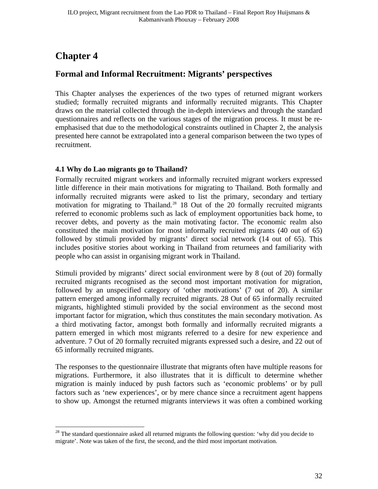# <span id="page-31-0"></span>**Chapter 4**

 $\overline{a}$ 

## <span id="page-31-1"></span>**Formal and Informal Recruitment: Migrants' perspectives**

This Chapter analyses the experiences of the two types of returned migrant workers studied; formally recruited migrants and informally recruited migrants. This Chapter draws on the material collected through the in-depth interviews and through the standard questionnaires and reflects on the various stages of the migration process. It must be reemphasised that due to the methodological constraints outlined in Chapter 2, the analysis presented here cannot be extrapolated into a general comparison between the two types of recruitment.

## <span id="page-31-2"></span>**4.1 Why do Lao migrants go to Thailand?**

Formally recruited migrant workers and informally recruited migrant workers expressed little difference in their main motivations for migrating to Thailand. Both formally and informally recruited migrants were asked to list the primary, secondary and tertiary motivation for migrating to Thailand.<sup>[28](#page-31-3)</sup> 18 Out of the 20 formally recruited migrants referred to economic problems such as lack of employment opportunities back home, to recover debts, and poverty as the main motivating factor. The economic realm also constituted the main motivation for most informally recruited migrants (40 out of 65) followed by stimuli provided by migrants' direct social network (14 out of 65). This includes positive stories about working in Thailand from returnees and familiarity with people who can assist in organising migrant work in Thailand.

Stimuli provided by migrants' direct social environment were by 8 (out of 20) formally recruited migrants recognised as the second most important motivation for migration, followed by an unspecified category of 'other motivations' (7 out of 20). A similar pattern emerged among informally recruited migrants. 28 Out of 65 informally recruited migrants, highlighted stimuli provided by the social environment as the second most important factor for migration, which thus constitutes the main secondary motivation. As a third motivating factor, amongst both formally and informally recruited migrants a pattern emerged in which most migrants referred to a desire for new experience and adventure. 7 Out of 20 formally recruited migrants expressed such a desire, and 22 out of 65 informally recruited migrants.

The responses to the questionnaire illustrate that migrants often have multiple reasons for migrations. Furthermore, it also illustrates that it is difficult to determine whether migration is mainly induced by push factors such as 'economic problems' or by pull factors such as 'new experiences', or by mere chance since a recruitment agent happens to show up. Amongst the returned migrants interviews it was often a combined working

<span id="page-31-3"></span><sup>&</sup>lt;sup>28</sup> The standard questionnaire asked all returned migrants the following question: 'why did you decide to migrate'. Note was taken of the first, the second, and the third most important motivation.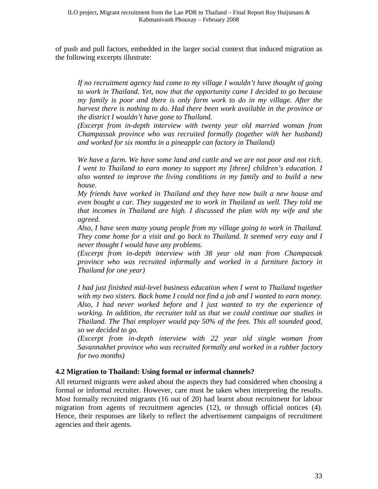of push and pull factors, embedded in the larger social context that induced migration as the following excerpts illustrate:

*If no recruitment agency had come to my village I wouldn't have thought of going to work in Thailand. Yet, now that the opportunity came I decided to go because my family is poor and there is only farm work to do in my village. After the harvest there is nothing to do. Had there been work available in the province or the district I wouldn't have gone to Thailand.* 

*(Excerpt from in-depth interview with twenty year old married woman from Champassak province who was recruited formally (together with her husband) and worked for six months in a pineapple can factory in Thailand)* 

*We have a farm. We have some land and cattle and we are not poor and not rich. I* went to Thailand to earn money to support my [three] children's education. *I also wanted to improve the living conditions in my family and to build a new house.* 

*My friends have worked in Thailand and they have now built a new house and even bought a car. They suggested me to work in Thailand as well. They told me that incomes in Thailand are high. I discussed the plan with my wife and she agreed.* 

*Also, I have seen many young people from my village going to work in Thailand. They come home for a visit and go back to Thailand. It seemed very easy and I never thought I would have any problems.* 

*(Excerpt from in-depth interview with 38 year old man from Champassak province who was recruited informally and worked in a furniture factory in Thailand for one year)* 

*I had just finished mid-level business education when I went to Thailand together with my two sisters. Back home I could not find a job and I wanted to earn money. Also, I had never worked before and I just wanted to try the experience of working. In addition, the recruiter told us that we could continue our studies in Thailand. The Thai employer would pay 50% of the fees. This all sounded good, so we decided to go.* 

*(Excerpt from in-depth interview with 22 year old single woman from Savannakhet province who was recruited formally and worked in a rubber factory for two months)* 

### <span id="page-32-0"></span>**4.2 Migration to Thailand: Using formal or informal channels?**

All returned migrants were asked about the aspects they had considered when choosing a formal or informal recruiter. However, care must be taken when interpreting the results. Most formally recruited migrants (16 out of 20) had learnt about recruitment for labour migration from agents of recruitment agencies (12), or through official notices (4). Hence, their responses are likely to reflect the advertisement campaigns of recruitment agencies and their agents.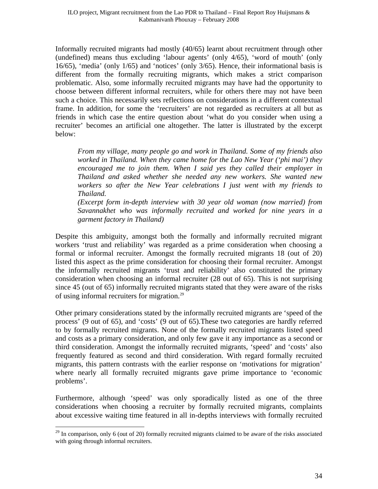Informally recruited migrants had mostly (40/65) learnt about recruitment through other (undefined) means thus excluding 'labour agents' (only 4/65), 'word of mouth' (only 16/65), 'media' (only 1/65) and 'notices' (only 3/65). Hence, their informational basis is different from the formally recruiting migrants, which makes a strict comparison problematic. Also, some informally recruited migrants may have had the opportunity to choose between different informal recruiters, while for others there may not have been such a choice. This necessarily sets reflections on considerations in a different contextual frame. In addition, for some the 'recruiters' are not regarded as recruiters at all but as friends in which case the entire question about 'what do you consider when using a recruiter' becomes an artificial one altogether. The latter is illustrated by the excerpt below:

*From my village, many people go and work in Thailand. Some of my friends also worked in Thailand. When they came home for the Lao New Year ('phi mai') they encouraged me to join them. When I said yes they called their employer in Thailand and asked whether she needed any new workers. She wanted new workers so after the New Year celebrations I just went with my friends to Thailand.* 

*(Excerpt form in-depth interview with 30 year old woman (now married) from Savannakhet who was informally recruited and worked for nine years in a garment factory in Thailand)* 

Despite this ambiguity, amongst both the formally and informally recruited migrant workers 'trust and reliability' was regarded as a prime consideration when choosing a formal or informal recruiter. Amongst the formally recruited migrants 18 (out of 20) listed this aspect as the prime consideration for choosing their formal recruiter. Amongst the informally recruited migrants 'trust and reliability' also constituted the primary consideration when choosing an informal recruiter (28 out of 65). This is not surprising since 45 (out of 65) informally recruited migrants stated that they were aware of the risks of using informal recruiters for migration.<sup>[29](#page-33-0)</sup>

Other primary considerations stated by the informally recruited migrants are 'speed of the process' (9 out of 65), and 'costs' (9 out of 65).These two categories are hardly referred to by formally recruited migrants. None of the formally recruited migrants listed speed and costs as a primary consideration, and only few gave it any importance as a second or third consideration. Amongst the informally recruited migrants, 'speed' and 'costs' also frequently featured as second and third consideration. With regard formally recruited migrants, this pattern contrasts with the earlier response on 'motivations for migration' where nearly all formally recruited migrants gave prime importance to 'economic problems'.

Furthermore, although 'speed' was only sporadically listed as one of the three considerations when choosing a recruiter by formally recruited migrants, complaints about excessive waiting time featured in all in-depths interviews with formally recruited

<span id="page-33-0"></span> $\overline{a}$  $29$  In comparison, only 6 (out of 20) formally recruited migrants claimed to be aware of the risks associated with going through informal recruiters.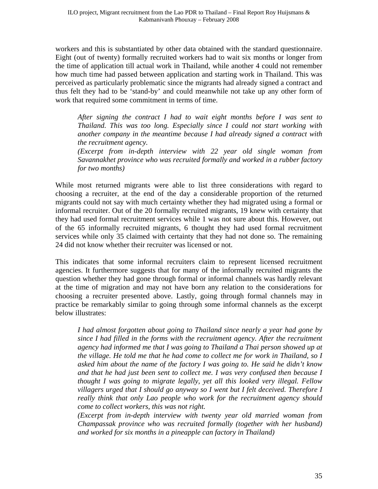workers and this is substantiated by other data obtained with the standard questionnaire. Eight (out of twenty) formally recruited workers had to wait six months or longer from the time of application till actual work in Thailand, while another 4 could not remember how much time had passed between application and starting work in Thailand. This was perceived as particularly problematic since the migrants had already signed a contract and thus felt they had to be 'stand-by' and could meanwhile not take up any other form of work that required some commitment in terms of time.

*After signing the contract I had to wait eight months before I was sent to Thailand. This was too long. Especially since I could not start working with another company in the meantime because I had already signed a contract with the recruitment agency.* 

*(Excerpt from in-depth interview with 22 year old single woman from Savannakhet province who was recruited formally and worked in a rubber factory for two months)* 

While most returned migrants were able to list three considerations with regard to choosing a recruiter, at the end of the day a considerable proportion of the returned migrants could not say with much certainty whether they had migrated using a formal or informal recruiter. Out of the 20 formally recruited migrants, 19 knew with certainty that they had used formal recruitment services while 1 was not sure about this. However, out of the 65 informally recruited migrants, 6 thought they had used formal recruitment services while only 35 claimed with certainty that they had not done so. The remaining 24 did not know whether their recruiter was licensed or not.

This indicates that some informal recruiters claim to represent licensed recruitment agencies. It furthermore suggests that for many of the informally recruited migrants the question whether they had gone through formal or informal channels was hardly relevant at the time of migration and may not have born any relation to the considerations for choosing a recruiter presented above. Lastly, going through formal channels may in practice be remarkably similar to going through some informal channels as the excerpt below illustrates:

*I had almost forgotten about going to Thailand since nearly a year had gone by since I had filled in the forms with the recruitment agency. After the recruitment agency had informed me that I was going to Thailand a Thai person showed up at the village. He told me that he had come to collect me for work in Thailand, so I asked him about the name of the factory I was going to. He said he didn't know and that he had just been sent to collect me. I was very confused then because I thought I was going to migrate legally, yet all this looked very illegal. Fellow villagers urged that I should go anyway so I went but I felt deceived. Therefore I really think that only Lao people who work for the recruitment agency should come to collect workers, this was not right.* 

*(Excerpt from in-depth interview with twenty year old married woman from Champassak province who was recruited formally (together with her husband) and worked for six months in a pineapple can factory in Thailand)*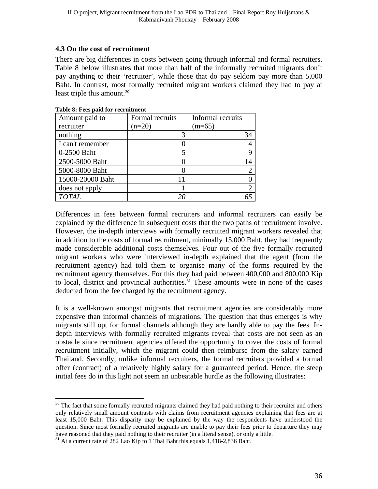#### <span id="page-35-0"></span>**4.3 On the cost of recruitment**

There are big differences in costs between going through informal and formal recruiters. Table 8 below illustrates that more than half of the informally recruited migrants don't pay anything to their 'recruiter', while those that do pay seldom pay more than 5,000 Baht. In contrast, most formally recruited migrant workers claimed they had to pay at least triple this amount. $30$ 

| Amount paid to   | Formal recruits | Informal recruits |
|------------------|-----------------|-------------------|
| recruiter        | $(n=20)$        | $(m=65)$          |
| nothing          | 3               | 34                |
| I can't remember |                 |                   |
| 0-2500 Baht      | 5               |                   |
| 2500-5000 Baht   |                 | 14                |
| 5000-8000 Baht   |                 | $\overline{2}$    |
| 15000-20000 Baht |                 |                   |
| does not apply   |                 | $\overline{2}$    |
| <b>TOTAL</b>     |                 |                   |

#### **Table 8: Fees paid for recruitment**

Differences in fees between formal recruiters and informal recruiters can easily be explained by the difference in subsequent costs that the two paths of recruitment involve. However, the in-depth interviews with formally recruited migrant workers revealed that in addition to the costs of formal recruitment, minimally 15,000 Baht, they had frequently made considerable additional costs themselves. Four out of the five formally recruited migrant workers who were interviewed in-depth explained that the agent (from the recruitment agency) had told them to organise many of the forms required by the recruitment agency themselves. For this they had paid between 400,000 and 800,000 Kip to local, district and provincial authorities.<sup>[31](#page-35-2)</sup> These amounts were in none of the cases deducted from the fee charged by the recruitment agency.

It is a well-known amongst migrants that recruitment agencies are considerably more expensive than informal channels of migrations. The question that thus emerges is why migrants still opt for formal channels although they are hardly able to pay the fees. Indepth interviews with formally recruited migrants reveal that costs are not seen as an obstacle since recruitment agencies offered the opportunity to cover the costs of formal recruitment initially, which the migrant could then reimburse from the salary earned Thailand. Secondly, unlike informal recruiters, the formal recruiters provided a formal offer (contract) of a relatively highly salary for a guaranteed period. Hence, the steep initial fees do in this light not seem an unbeatable hurdle as the following illustrates:

<span id="page-35-1"></span> $\overline{a}$  $30$  The fact that some formally recruited migrants claimed they had paid nothing to their recruiter and others only relatively small amount contrasts with claims from recruitment agencies explaining that fees are at least 15,000 Baht. This disparity may be explained by the way the respondents have understood the question. Since most formally recruited migrants are unable to pay their fees prior to departure they may have reasoned that they paid nothing to their recruiter (in a literal sense), or only a little.

<span id="page-35-2"></span><sup>&</sup>lt;sup>31</sup> At a current rate of 282 Lao Kip to 1 Thai Baht this equals 1,418-2,836 Baht.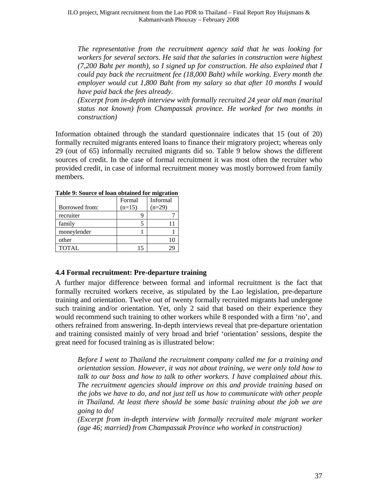*The representative from the recruitment agency said that he was looking for workers for several sectors. He said that the salaries in construction were highest (7,200 Baht per month), so I signed up for construction. He also explained that I could pay back the recruitment fee (18,000 Baht) while working. Every month the employer would cut 1,800 Baht from my salary so that after 10 months I would have paid back the fees already.* 

*(Excerpt from in-depth interview with formally recruited 24 year old man (marital status not known) from Champassak province. He worked for two months in construction)* 

Information obtained through the standard questionnaire indicates that 15 (out of 20) formally recruited migrants entered loans to finance their migratory project; whereas only 29 (out of 65) informally recruited migrants did so. Table 9 below shows the different sources of credit. In the case of formal recruitment it was most often the recruiter who provided credit, in case of informal recruitment money was mostly borrowed from family members.

|                | Formal   | Informal |
|----------------|----------|----------|
| Borrowed from: | $(n=15)$ | $(n=29)$ |
| recruiter      |          |          |
| family         |          |          |
| moneylender    |          |          |
| other          |          |          |
| <b>TOTAL</b>   | 15       |          |

**Table 9: Source of loan obtained for migration** 

### <span id="page-36-0"></span>**4.4 Formal recruitment: Pre-departure training**

A further major difference between formal and informal recruitment is the fact that formally recruited workers receive, as stipulated by the Lao legislation, pre-departure training and orientation. Twelve out of twenty formally recruited migrants had undergone such training and/or orientation. Yet, only 2 said that based on their experience they would recommend such training to other workers while 8 responded with a firm 'no', and others refrained from answering. In-depth interviews reveal that pre-departure orientation and training consisted mainly of very broad and brief 'orientation' sessions, despite the great need for focused training as is illustrated below:

*Before I went to Thailand the recruitment company called me for a training and orientation session. However, it was not about training, we were only told how to talk to our boss and how to talk to other workers. I have complained about this. The recruitment agencies should improve on this and provide training based on the jobs we have to do, and not just tell us how to communicate with other people in Thailand. At least there should be some basic training about the job we are going to do!* 

*(Excerpt from in-depth interview with formally recruited male migrant worker (age 46; married) from Champassak Province who worked in construction)*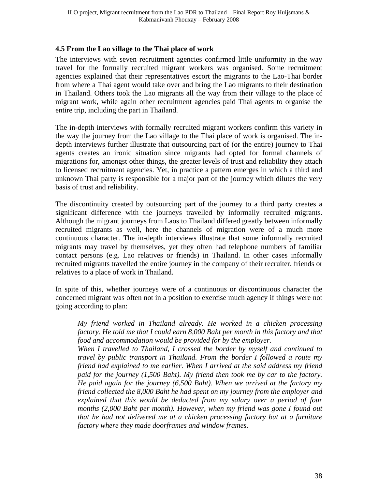## <span id="page-37-0"></span>**4.5 From the Lao village to the Thai place of work**

The interviews with seven recruitment agencies confirmed little uniformity in the way travel for the formally recruited migrant workers was organised. Some recruitment agencies explained that their representatives escort the migrants to the Lao-Thai border from where a Thai agent would take over and bring the Lao migrants to their destination in Thailand. Others took the Lao migrants all the way from their village to the place of migrant work, while again other recruitment agencies paid Thai agents to organise the entire trip, including the part in Thailand.

The in-depth interviews with formally recruited migrant workers confirm this variety in the way the journey from the Lao village to the Thai place of work is organised. The indepth interviews further illustrate that outsourcing part of (or the entire) journey to Thai agents creates an ironic situation since migrants had opted for formal channels of migrations for, amongst other things, the greater levels of trust and reliability they attach to licensed recruitment agencies. Yet, in practice a pattern emerges in which a third and unknown Thai party is responsible for a major part of the journey which dilutes the very basis of trust and reliability.

The discontinuity created by outsourcing part of the journey to a third party creates a significant difference with the journeys travelled by informally recruited migrants. Although the migrant journeys from Laos to Thailand differed greatly between informally recruited migrants as well, here the channels of migration were of a much more continuous character. The in-depth interviews illustrate that some informally recruited migrants may travel by themselves, yet they often had telephone numbers of familiar contact persons (e.g. Lao relatives or friends) in Thailand. In other cases informally recruited migrants travelled the entire journey in the company of their recruiter, friends or relatives to a place of work in Thailand.

In spite of this, whether journeys were of a continuous or discontinuous character the concerned migrant was often not in a position to exercise much agency if things were not going according to plan:

*My friend worked in Thailand already. He worked in a chicken processing factory. He told me that I could earn 8,000 Baht per month in this factory and that food and accommodation would be provided for by the employer.* 

*When I travelled to Thailand, I crossed the border by myself and continued to travel by public transport in Thailand. From the border I followed a route my friend had explained to me earlier. When I arrived at the said address my friend paid for the journey (1,500 Baht). My friend then took me by car to the factory. He paid again for the journey (6,500 Baht). When we arrived at the factory my friend collected the 8,000 Baht he had spent on my journey from the employer and explained that this would be deducted from my salary over a period of four months (2,000 Baht per month). However, when my friend was gone I found out that he had not delivered me at a chicken processing factory but at a furniture factory where they made doorframes and window frames.*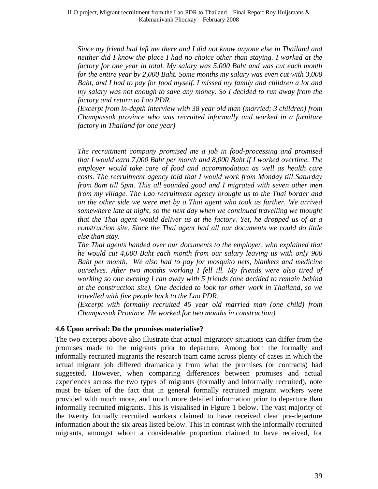*Since my friend had left me there and I did not know anyone else in Thailand and neither did I know the place I had no choice other than staying. I worked at the factory for one year in total. My salary was 5,000 Baht and was cut each month for the entire year by 2,000 Baht. Some months my salary was even cut with 3,000 Baht, and I had to pay for food myself. I missed my family and children a lot and my salary was not enough to save any money. So I decided to run away from the factory and return to Lao PDR.* 

*(Excerpt from in-depth interview with 38 year old man (married; 3 children) from Champassak province who was recruited informally and worked in a furniture factory in Thailand for one year)* 

*The recruitment company promised me a job in food-processing and promised that I would earn 7,000 Baht per month and 8,000 Baht if I worked overtime. The employer would take care of food and accommodation as well as health care costs. The recruitment agency told that I would work from Monday till Saturday from 8am till 5pm. This all sounded good and I migrated with seven other men from my village. The Lao recruitment agency brought us to the Thai border and on the other side we were met by a Thai agent who took us further. We arrived somewhere late at night, so the next day when we continued travelling we thought that the Thai agent would deliver us at the factory. Yet, he dropped us of at a construction site. Since the Thai agent had all our documents we could do little else than stay.* 

*The Thai agents handed over our documents to the employer, who explained that he would cut 4,000 Baht each month from our salary leaving us with only 900 Baht per month. We also had to pay for mosquito nets, blankets and medicine ourselves. After two months working I fell ill. My friends were also tired of working so one evening I ran away with 5 friends (one decided to remain behind at the construction site). One decided to look for other work in Thailand, so we travelled with five people back to the Lao PDR.* 

*(Excerpt with formally recruited 45 year old married man (one child) from Champassak Province. He worked for two months in construction)* 

#### <span id="page-38-0"></span>**4.6 Upon arrival: Do the promises materialise?**

The two excerpts above also illustrate that actual migratory situations can differ from the promises made to the migrants prior to departure. Among both the formally and informally recruited migrants the research team came across plenty of cases in which the actual migrant job differed dramatically from what the promises (or contracts) had suggested. However, when comparing differences between promises and actual experiences across the two types of migrants (formally and informally recruited), note must be taken of the fact that in general formally recruited migrant workers were provided with much more, and much more detailed information prior to departure than informally recruited migrants. This is visualised in Figure 1 below. The vast majority of the twenty formally recruited workers claimed to have received clear pre-departure information about the six areas listed below. This in contrast with the informally recruited migrants, amongst whom a considerable proportion claimed to have received, for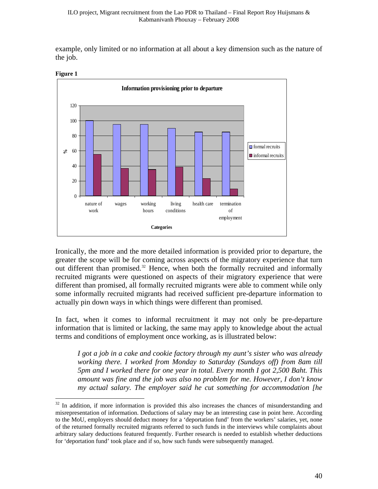example, only limited or no information at all about a key dimension such as the nature of the job.



**Figure 1** 

 $\overline{a}$ 

Ironically, the more and the more detailed information is provided prior to departure, the greater the scope will be for coming across aspects of the migratory experience that turn out different than promised.<sup>[32](#page-39-0)</sup> Hence, when both the formally recruited and informally recruited migrants were questioned on aspects of their migratory experience that were different than promised, all formally recruited migrants were able to comment while only some informally recruited migrants had received sufficient pre-departure information to actually pin down ways in which things were different than promised.

In fact, when it comes to informal recruitment it may not only be pre-departure information that is limited or lacking, the same may apply to knowledge about the actual terms and conditions of employment once working, as is illustrated below:

*I got a job in a cake and cookie factory through my aunt's sister who was already working there. I worked from Monday to Saturday (Sundays off) from 8am till 5pm and I worked there for one year in total. Every month I got 2,500 Baht. This amount was fine and the job was also no problem for me. However, I don't know my actual salary. The employer said he cut something for accommodation [he* 

<span id="page-39-0"></span><sup>&</sup>lt;sup>32</sup> In addition, if more information is provided this also increases the chances of misunderstanding and misrepresentation of information. Deductions of salary may be an interesting case in point here. According to the MoU, employers should deduct money for a 'deportation fund' from the workers' salaries, yet, none of the returned formally recruited migrants referred to such funds in the interviews while complaints about arbitrary salary deductions featured frequently. Further research is needed to establish whether deductions for 'deportation fund' took place and if so, how such funds were subsequently managed.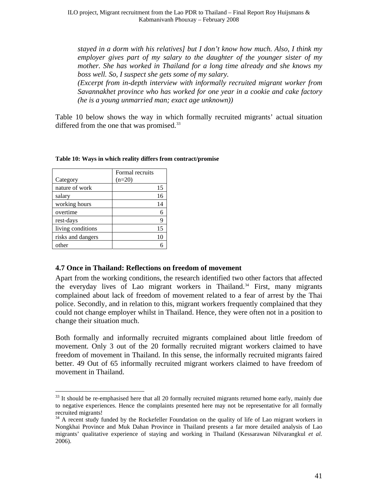ILO project, Migrant recruitment from the Lao PDR to Thailand – Final Report Roy Huijsmans & Kabmanivanh Phouxay – February 2008

*stayed in a dorm with his relatives] but I don't know how much. Also, I think my employer gives part of my salary to the daughter of the younger sister of my mother. She has worked in Thailand for a long time already and she knows my boss well. So, I suspect she gets some of my salary.* 

*(Excerpt from in-depth interview with informally recruited migrant worker from Savannakhet province who has worked for one year in a cookie and cake factory (he is a young unmarried man; exact age unknown))* 

Table 10 below shows the way in which formally recruited migrants' actual situation differed from the one that was promised.<sup>[33](#page-40-1)</sup>

|                   | Formal recruits |
|-------------------|-----------------|
| Category          | $(n=20)$        |
| nature of work    | 15              |
| salary            | 16              |
| working hours     | 14              |
| overtime          |                 |
| rest-days         |                 |
| living conditions | 15              |
| risks and dangers | 10              |
| other             |                 |

 $\overline{a}$ 

#### **Table 10: Ways in which reality differs from contract/promise**

#### <span id="page-40-0"></span>**4.7 Once in Thailand: Reflections on freedom of movement**

Apart from the working conditions, the research identified two other factors that affected the everyday lives of Lao migrant workers in Thailand.<sup>[34](#page-40-2)</sup> First, many migrants complained about lack of freedom of movement related to a fear of arrest by the Thai police. Secondly, and in relation to this, migrant workers frequently complained that they could not change employer whilst in Thailand. Hence, they were often not in a position to change their situation much.

Both formally and informally recruited migrants complained about little freedom of movement. Only 3 out of the 20 formally recruited migrant workers claimed to have freedom of movement in Thailand. In this sense, the informally recruited migrants faired better. 49 Out of 65 informally recruited migrant workers claimed to have freedom of movement in Thailand.

<span id="page-40-1"></span> $33$  It should be re-emphasised here that all 20 formally recruited migrants returned home early, mainly due to negative experiences. Hence the complaints presented here may not be representative for all formally recruited migrants!

<span id="page-40-2"></span><sup>&</sup>lt;sup>34</sup> A recent study funded by the Rockefeller Foundation on the quality of life of Lao migrant workers in Nongkhai Province and Muk Dahan Province in Thailand presents a far more detailed analysis of Lao migrants' qualitative experience of staying and working in Thailand (Kessarawan Nilvarangkul *et al.* 2006).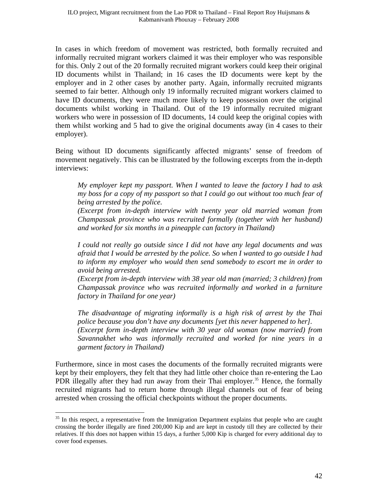In cases in which freedom of movement was restricted, both formally recruited and informally recruited migrant workers claimed it was their employer who was responsible for this. Only 2 out of the 20 formally recruited migrant workers could keep their original ID documents whilst in Thailand; in 16 cases the ID documents were kept by the employer and in 2 other cases by another party. Again, informally recruited migrants seemed to fair better. Although only 19 informally recruited migrant workers claimed to have ID documents, they were much more likely to keep possession over the original documents whilst working in Thailand. Out of the 19 informally recruited migrant workers who were in possession of ID documents, 14 could keep the original copies with them whilst working and 5 had to give the original documents away (in 4 cases to their employer).

Being without ID documents significantly affected migrants' sense of freedom of movement negatively. This can be illustrated by the following excerpts from the in-depth interviews:

*My employer kept my passport. When I wanted to leave the factory I had to ask my boss for a copy of my passport so that I could go out without too much fear of being arrested by the police.* 

*(Excerpt from in-depth interview with twenty year old married woman from Champassak province who was recruited formally (together with her husband) and worked for six months in a pineapple can factory in Thailand)* 

*I could not really go outside since I did not have any legal documents and was afraid that I would be arrested by the police. So when I wanted to go outside I had to inform my employer who would then send somebody to escort me in order to avoid being arrested.* 

*(Excerpt from in-depth interview with 38 year old man (married; 3 children) from Champassak province who was recruited informally and worked in a furniture factory in Thailand for one year)* 

*The disadvantage of migrating informally is a high risk of arrest by the Thai police because you don't have any documents [yet this never happened to her]. (Excerpt form in-depth interview with 30 year old woman (now married) from Savannakhet who was informally recruited and worked for nine years in a garment factory in Thailand)* 

Furthermore, since in most cases the documents of the formally recruited migrants were kept by their employers, they felt that they had little other choice than re-entering the Lao PDR illegally after they had run away from their Thai employer.<sup>[35](#page-41-0)</sup> Hence, the formally recruited migrants had to return home through illegal channels out of fear of being arrested when crossing the official checkpoints without the proper documents.

<span id="page-41-0"></span> $35$  In this respect, a representative from the Immigration Department explains that people who are caught crossing the border illegally are fined 200,000 Kip and are kept in custody till they are collected by their relatives. If this does not happen within 15 days, a further 5,000 Kip is charged for every additional day to cover food expenses.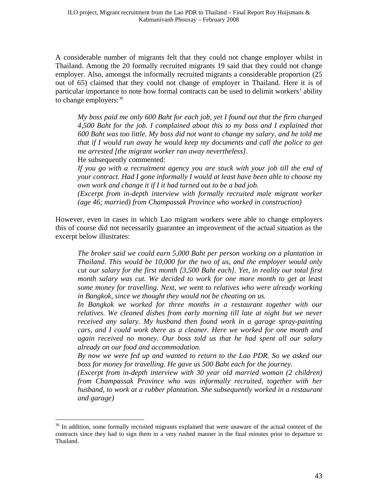A considerable number of migrants felt that they could not change employer whilst in Thailand. Among the 20 formally recruited migrants 19 said that they could not change employer. Also, amongst the informally recruited migrants a considerable proportion (25 out of 65) claimed that they could not change of employer in Thailand. Here it is of particular importance to note how formal contracts can be used to delimit workers' ability to change employers:  $36$ 

*My boss paid me only 600 Baht for each job, yet I found out that the firm charged 4,500 Baht for the job. I complained about this to my boss and I explained that 600 Baht was too little. My boss did not want to change my salary, and he told me that if I would run away he would keep my documents and call the police to get me arrested [the migrant worker ran away nevertheless].* 

He subsequently commented:

 $\overline{a}$ 

*If you go with a recruitment agency you are stuck with your job till the end of your contract. Had I gone informally I would at least have been able to choose my own work and change it if I it had turned out to be a bad job.* 

*(Excerpt from in-depth interview with formally recruited male migrant worker (age 46; married) from Champassak Province who worked in construction)* 

However, even in cases in which Lao migrant workers were able to change employers this of course did not necessarily guarantee an improvement of the actual situation as the excerpt below illustrates:

*The broker said we could earn 5,000 Baht per person working on a plantation in Thailand. This would be 10,000 for the two of us, and the employer would only cut our salary for the first month [3,500 Baht each]. Yet, in reality our total first month salary was cut. We decided to work for one more month to get at least some money for travelling. Next, we went to relatives who were already working in Bangkok, since we thought they would not be cheating on us.* 

*In Bangkok we worked for three months in a restaurant together with our relatives. We cleaned dishes from early morning till late at night but we never received any salary. My husband then found work in a garage spray-painting cars, and I could work there as a cleaner. Here we worked for one month and again received no money. Our boss told us that he had spent all our salary already on our food and accommodation.* 

*By now we were fed up and wanted to return to the Lao PDR. So we asked our boss for money for travelling. He gave us 500 Baht each for the journey.* 

*(Excerpt from in-depth interview with 30 year old married woman (2 children) from Champassak Province who was informally recruited, together with her husband, to work at a rubber plantation. She subsequently worked in a restaurant and garage)* 

<span id="page-42-0"></span><sup>&</sup>lt;sup>36</sup> In addition, some formally recruited migrants explained that were unaware of the actual content of the contracts since they had to sign them in a very rushed manner in the final minutes prior to departure to Thailand.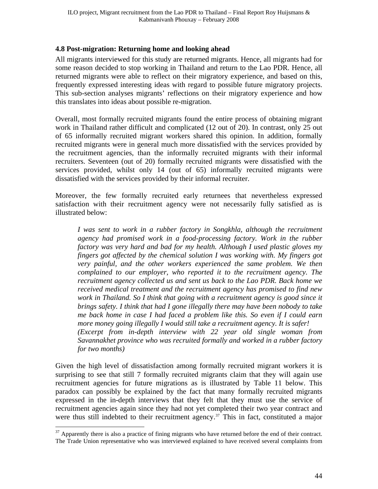### <span id="page-43-0"></span>**4.8 Post-migration: Returning home and looking ahead**

All migrants interviewed for this study are returned migrants. Hence, all migrants had for some reason decided to stop working in Thailand and return to the Lao PDR. Hence, all returned migrants were able to reflect on their migratory experience, and based on this, frequently expressed interesting ideas with regard to possible future migratory projects. This sub-section analyses migrants' reflections on their migratory experience and how this translates into ideas about possible re-migration.

Overall, most formally recruited migrants found the entire process of obtaining migrant work in Thailand rather difficult and complicated (12 out of 20). In contrast, only 25 out of 65 informally recruited migrant workers shared this opinion. In addition, formally recruited migrants were in general much more dissatisfied with the services provided by the recruitment agencies, than the informally recruited migrants with their informal recruiters. Seventeen (out of 20) formally recruited migrants were dissatisfied with the services provided, whilst only 14 (out of 65) informally recruited migrants were dissatisfied with the services provided by their informal recruiter.

Moreover, the few formally recruited early returnees that nevertheless expressed satisfaction with their recruitment agency were not necessarily fully satisfied as is illustrated below:

*I* was sent to work in a rubber factory in Songkhla, although the recruitment *agency had promised work in a food-processing factory. Work in the rubber factory was very hard and bad for my health. Although I used plastic gloves my fingers got affected by the chemical solution I was working with. My fingers got very painful, and the other workers experienced the same problem. We then complained to our employer, who reported it to the recruitment agency. The recruitment agency collected us and sent us back to the Lao PDR. Back home we received medical treatment and the recruitment agency has promised to find new*  work in Thailand. So I think that going with a recruitment agency is good since it *brings safety. I think that had I gone illegally there may have been nobody to take me back home in case I had faced a problem like this. So even if I could earn more money going illegally I would still take a recruitment agency. It is safer! (Excerpt from in-depth interview with 22 year old single woman from Savannakhet province who was recruited formally and worked in a rubber factory for two months)* 

Given the high level of dissatisfaction among formally recruited migrant workers it is surprising to see that still 7 formally recruited migrants claim that they will again use recruitment agencies for future migrations as is illustrated by Table 11 below. This paradox can possibly be explained by the fact that many formally recruited migrants expressed in the in-depth interviews that they felt that they must use the service of recruitment agencies again since they had not yet completed their two year contract and were thus still indebted to their recruitment agency.<sup>[37](#page-43-1)</sup> This in fact, constituted a major

<span id="page-43-1"></span> $37$  Apparently there is also a practice of fining migrants who have returned before the end of their contract. The Trade Union representative who was interviewed explained to have received several complaints from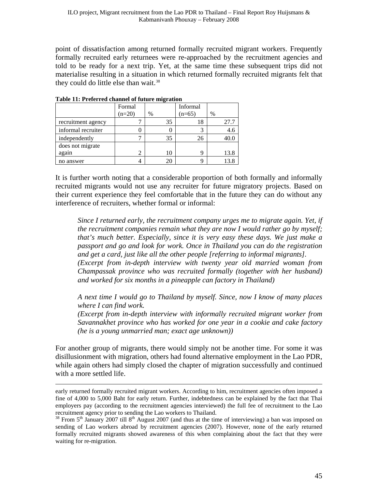point of dissatisfaction among returned formally recruited migrant workers. Frequently formally recruited early returnees were re-approached by the recruitment agencies and told to be ready for a next trip. Yet, at the same time these subsequent trips did not materialise resulting in a situation in which returned formally recruited migrants felt that they could do little else than wait.<sup>[38](#page-44-0)</sup>

|                    | Formal   |      | Informal |      |
|--------------------|----------|------|----------|------|
|                    | $(n=20)$ | $\%$ | $(n=65)$ | %    |
| recruitment agency |          | 35   | 18       | 27.7 |
| informal recruiter |          |      |          | 4.6  |
| independently      |          | 35   | 26       | 40.C |
| does not migrate   |          |      |          |      |
| again              | 2        | 10   | Q        | 13.8 |
| no answer          |          | 20   |          | 13.8 |

**Table 11: Preferred channel of future migration** 

It is further worth noting that a considerable proportion of both formally and informally recruited migrants would not use any recruiter for future migratory projects. Based on their current experience they feel comfortable that in the future they can do without any interference of recruiters, whether formal or informal:

*Since I returned early, the recruitment company urges me to migrate again. Yet, if the recruitment companies remain what they are now I would rather go by myself; that's much better. Especially, since it is very easy these days. We just make a passport and go and look for work. Once in Thailand you can do the registration and get a card, just like all the other people [referring to informal migrants]. (Excerpt from in-depth interview with twenty year old married woman from Champassak province who was recruited formally (together with her husband) and worked for six months in a pineapple can factory in Thailand)* 

*A next time I would go to Thailand by myself. Since, now I know of many places where I can find work.* 

*(Excerpt from in-depth interview with informally recruited migrant worker from Savannakhet province who has worked for one year in a cookie and cake factory (he is a young unmarried man; exact age unknown))* 

For another group of migrants, there would simply not be another time. For some it was disillusionment with migration, others had found alternative employment in the Lao PDR, while again others had simply closed the chapter of migration successfully and continued with a more settled life.

early returned formally recruited migrant workers. According to him, recruitment agencies often imposed a fine of 4,000 to 5,000 Baht for early return. Further, indebtedness can be explained by the fact that Thai employers pay (according to the recruitment agencies interviewed) the full fee of recruitment to the Lao recruitment agency prior to sending the Lao workers to Thailand.<br><sup>38</sup> From 5<sup>th</sup> January 2007 till 8<sup>th</sup> August 2007 (and thus at the time of interviewing) a ban was imposed on

<span id="page-44-0"></span>sending of Lao workers abroad by recruitment agencies (2007). However, none of the early returned formally recruited migrants showed awareness of this when complaining about the fact that they were waiting for re-migration.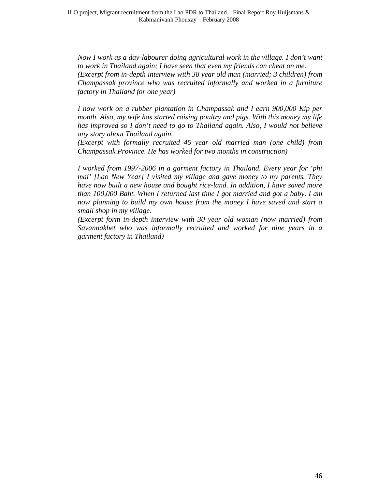*Now I work as a day-labourer doing agricultural work in the village. I don't want to work in Thailand again; I have seen that even my friends can cheat on me. (Excerpt from in-depth interview with 38 year old man (married; 3 children) from Champassak province who was recruited informally and worked in a furniture factory in Thailand for one year)* 

*I now work on a rubber plantation in Champassak and I earn 900,000 Kip per month. Also, my wife has started raising poultry and pigs. With this money my life has improved so I don't need to go to Thailand again. Also, I would not believe any story about Thailand again.* 

*(Excerpt with formally recruited 45 year old married man (one child) from Champassak Province. He has worked for two months in construction)* 

*I worked from 1997-2006 in a garment factory in Thailand. Every year for 'phi mai' [Lao New Year] I visited my village and gave money to my parents. They have now built a new house and bought rice-land. In addition, I have saved more than 100,000 Baht. When I returned last time I got married and got a baby. I am now planning to build my own house from the money I have saved and start a small shop in my village.* 

*(Excerpt form in-depth interview with 30 year old woman (now married) from Savannakhet who was informally recruited and worked for nine years in a garment factory in Thailand)*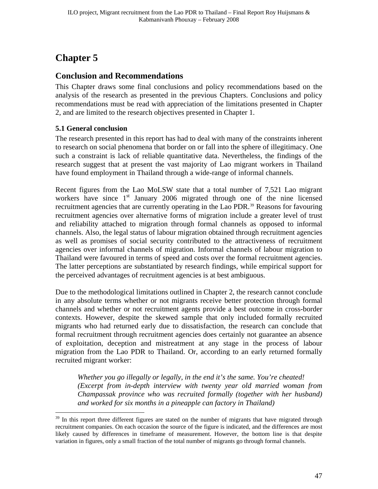# <span id="page-46-0"></span>**Chapter 5**

 $\overline{a}$ 

## <span id="page-46-1"></span>**Conclusion and Recommendations**

This Chapter draws some final conclusions and policy recommendations based on the analysis of the research as presented in the previous Chapters. Conclusions and policy recommendations must be read with appreciation of the limitations presented in Chapter 2, and are limited to the research objectives presented in Chapter 1.

## <span id="page-46-2"></span>**5.1 General conclusion**

The research presented in this report has had to deal with many of the constraints inherent to research on social phenomena that border on or fall into the sphere of illegitimacy. One such a constraint is lack of reliable quantitative data. Nevertheless, the findings of the research suggest that at present the vast majority of Lao migrant workers in Thailand have found employment in Thailand through a wide-range of informal channels.

Recent figures from the Lao MoLSW state that a total number of 7,521 Lao migrant workers have since  $1<sup>st</sup>$  January 2006 migrated through one of the nine licensed recruitment agencies that are currently operating in the Lao PDR.<sup>[39](#page-46-3)</sup> Reasons for favouring recruitment agencies over alternative forms of migration include a greater level of trust and reliability attached to migration through formal channels as opposed to informal channels. Also, the legal status of labour migration obtained through recruitment agencies as well as promises of social security contributed to the attractiveness of recruitment agencies over informal channels of migration. Informal channels of labour migration to Thailand were favoured in terms of speed and costs over the formal recruitment agencies. The latter perceptions are substantiated by research findings, while empirical support for the perceived advantages of recruitment agencies is at best ambiguous.

Due to the methodological limitations outlined in Chapter 2, the research cannot conclude in any absolute terms whether or not migrants receive better protection through formal channels and whether or not recruitment agents provide a best outcome in cross-border contexts. However, despite the skewed sample that only included formally recruited migrants who had returned early due to dissatisfaction, the research can conclude that formal recruitment through recruitment agencies does certainly not guarantee an absence of exploitation, deception and mistreatment at any stage in the process of labour migration from the Lao PDR to Thailand. Or, according to an early returned formally recruited migrant worker:

*Whether you go illegally or legally, in the end it's the same. You're cheated! (Excerpt from in-depth interview with twenty year old married woman from Champassak province who was recruited formally (together with her husband) and worked for six months in a pineapple can factory in Thailand)* 

<span id="page-46-3"></span> $39$  In this report three different figures are stated on the number of migrants that have migrated through recruitment companies. On each occasion the source of the figure is indicated, and the differences are most likely caused by differences in timeframe of measurement. However, the bottom line is that despite variation in figures, only a small fraction of the total number of migrants go through formal channels.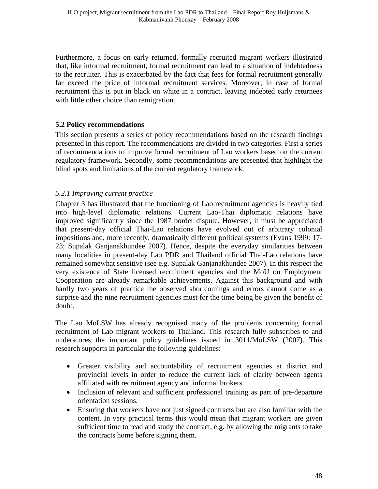Furthermore, a focus on early returned, formally recruited migrant workers illustrated that, like informal recruitment, formal recruitment can lead to a situation of indebtedness to the recruiter. This is exacerbated by the fact that fees for formal recruitment generally far exceed the price of informal recruitment services. Moreover, in case of formal recruitment this is put in black on white in a contract, leaving indebted early returnees with little other choice than remigration.

### <span id="page-47-0"></span>**5.2 Policy recommendations**

This section presents a series of policy recommendations based on the research findings presented in this report. The recommendations are divided in two categories. First a series of recommendations to improve formal recruitment of Lao workers based on the current regulatory framework. Secondly, some recommendations are presented that highlight the blind spots and limitations of the current regulatory framework.

#### <span id="page-47-1"></span>*5.2.1 Improving current practice*

Chapter 3 has illustrated that the functioning of Lao recruitment agencies is heavily tied into high-level diplomatic relations. Current Lao-Thai diplomatic relations have improved significantly since the 1987 border dispute. However, it must be appreciated that present-day official Thai-Lao relations have evolved out of arbitrary colonial impositions and, more recently, dramatically different political systems (Evans 1999: 17- 23; Supalak Ganjanakhundee 2007). Hence, despite the everyday similarities between many localities in present-day Lao PDR and Thailand official Thai-Lao relations have remained somewhat sensitive (see e.g. Supalak Ganjanakhundee 2007). In this respect the very existence of State licensed recruitment agencies and the MoU on Employment Cooperation are already remarkable achievements. Against this background and with hardly two years of practice the observed shortcomings and errors cannot come as a surprise and the nine recruitment agencies must for the time being be given the benefit of doubt.

The Lao MoLSW has already recognised many of the problems concerning formal recruitment of Lao migrant workers to Thailand. This research fully subscribes to and underscores the important policy guidelines issued in 3011/MoLSW (2007). This research supports in particular the following guidelines:

- Greater visibility and accountability of recruitment agencies at district and provincial levels in order to reduce the current lack of clarity between agents affiliated with recruitment agency and informal brokers.
- Inclusion of relevant and sufficient professional training as part of pre-departure orientation sessions.
- Ensuring that workers have not just signed contracts but are also familiar with the content. In very practical terms this would mean that migrant workers are given sufficient time to read and study the contract, e.g. by allowing the migrants to take the contracts home before signing them.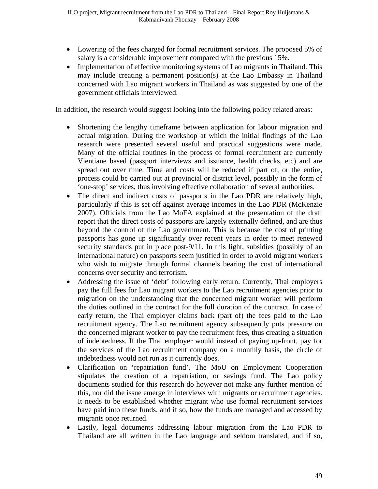- Lowering of the fees charged for formal recruitment services. The proposed 5% of salary is a considerable improvement compared with the previous 15%.
- Implementation of effective monitoring systems of Lao migrants in Thailand. This may include creating a permanent position(s) at the Lao Embassy in Thailand concerned with Lao migrant workers in Thailand as was suggested by one of the government officials interviewed.

In addition, the research would suggest looking into the following policy related areas:

- Shortening the lengthy timeframe between application for labour migration and actual migration. During the workshop at which the initial findings of the Lao research were presented several useful and practical suggestions were made. Many of the official routines in the process of formal recruitment are currently Vientiane based (passport interviews and issuance, health checks, etc) and are spread out over time. Time and costs will be reduced if part of, or the entire, process could be carried out at provincial or district level, possibly in the form of 'one-stop' services, thus involving effective collaboration of several authorities.
- The direct and indirect costs of passports in the Lao PDR are relatively high, particularly if this is set off against average incomes in the Lao PDR (McKenzie 2007). Officials from the Lao MoFA explained at the presentation of the draft report that the direct costs of passports are largely externally defined, and are thus beyond the control of the Lao government. This is because the cost of printing passports has gone up significantly over recent years in order to meet renewed security standards put in place post-9/11. In this light, subsidies (possibly of an international nature) on passports seem justified in order to avoid migrant workers who wish to migrate through formal channels bearing the cost of international concerns over security and terrorism.
- Addressing the issue of 'debt' following early return. Currently, Thai employers pay the full fees for Lao migrant workers to the Lao recruitment agencies prior to migration on the understanding that the concerned migrant worker will perform the duties outlined in the contract for the full duration of the contract. In case of early return, the Thai employer claims back (part of) the fees paid to the Lao recruitment agency. The Lao recruitment agency subsequently puts pressure on the concerned migrant worker to pay the recruitment fees, thus creating a situation of indebtedness. If the Thai employer would instead of paying up-front, pay for the services of the Lao recruitment company on a monthly basis, the circle of indebtedness would not run as it currently does.
- Clarification on 'repatriation fund'. The MoU on Employment Cooperation stipulates the creation of a repatriation, or savings fund. The Lao policy documents studied for this research do however not make any further mention of this, nor did the issue emerge in interviews with migrants or recruitment agencies. It needs to be established whether migrant who use formal recruitment services have paid into these funds, and if so, how the funds are managed and accessed by migrants once returned.
- Lastly, legal documents addressing labour migration from the Lao PDR to Thailand are all written in the Lao language and seldom translated, and if so,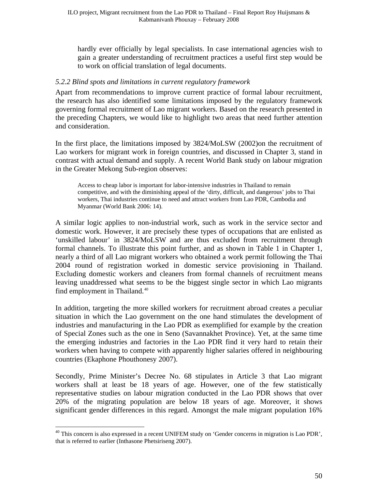hardly ever officially by legal specialists. In case international agencies wish to gain a greater understanding of recruitment practices a useful first step would be to work on official translation of legal documents.

#### <span id="page-49-0"></span>*5.2.2 Blind spots and limitations in current regulatory framework*

Apart from recommendations to improve current practice of formal labour recruitment, the research has also identified some limitations imposed by the regulatory framework governing formal recruitment of Lao migrant workers. Based on the research presented in the preceding Chapters, we would like to highlight two areas that need further attention and consideration.

In the first place, the limitations imposed by 3824/MoLSW (2002)on the recruitment of Lao workers for migrant work in foreign countries, and discussed in Chapter 3, stand in contrast with actual demand and supply. A recent World Bank study on labour migration in the Greater Mekong Sub-region observes:

Access to cheap labor is important for labor-intensive industries in Thailand to remain competitive, and with the diminishing appeal of the 'dirty, difficult, and dangerous' jobs to Thai workers, Thai industries continue to need and attract workers from Lao PDR, Cambodia and Myanmar (World Bank 2006: 14).

A similar logic applies to non-industrial work, such as work in the service sector and domestic work. However, it are precisely these types of occupations that are enlisted as 'unskilled labour' in 3824/MoLSW and are thus excluded from recruitment through formal channels. To illustrate this point further, and as shown in Table 1 in Chapter 1, nearly a third of all Lao migrant workers who obtained a work permit following the Thai 2004 round of registration worked in domestic service provisioning in Thailand. Excluding domestic workers and cleaners from formal channels of recruitment means leaving unaddressed what seems to be the biggest single sector in which Lao migrants find employment in Thailand.<sup>[40](#page-49-1)</sup>

In addition, targeting the more skilled workers for recruitment abroad creates a peculiar situation in which the Lao government on the one hand stimulates the development of industries and manufacturing in the Lao PDR as exemplified for example by the creation of Special Zones such as the one in Seno (Savannakhet Province). Yet, at the same time the emerging industries and factories in the Lao PDR find it very hard to retain their workers when having to compete with apparently higher salaries offered in neighbouring countries (Ekaphone Phouthonesy 2007).

Secondly, Prime Minister's Decree No. 68 stipulates in Article 3 that Lao migrant workers shall at least be 18 years of age. However, one of the few statistically representative studies on labour migration conducted in the Lao PDR shows that over 20% of the migrating population are below 18 years of age. Moreover, it shows significant gender differences in this regard. Amongst the male migrant population 16%

<span id="page-49-1"></span> $40$  This concern is also expressed in a recent UNIFEM study on 'Gender concerns in migration is Lao PDR', that is referred to earlier (Inthasone Phetsiriseng 2007).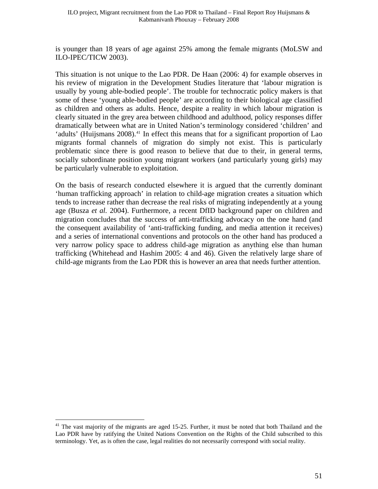is younger than 18 years of age against 25% among the female migrants (MoLSW and ILO-IPEC/TICW 2003).

This situation is not unique to the Lao PDR. De Haan (2006: 4) for example observes in his review of migration in the Development Studies literature that 'labour migration is usually by young able-bodied people'. The trouble for technocratic policy makers is that some of these 'young able-bodied people' are according to their biological age classified as children and others as adults. Hence, despite a reality in which labour migration is clearly situated in the grey area between childhood and adulthood, policy responses differ dramatically between what are in United Nation's terminology considered 'children' and 'adults' (Huijsmans 2008).<sup>[41](#page-50-0)</sup> In effect this means that for a significant proportion of Lao migrants formal channels of migration do simply not exist. This is particularly problematic since there is good reason to believe that due to their, in general terms, socially subordinate position young migrant workers (and particularly young girls) may be particularly vulnerable to exploitation.

On the basis of research conducted elsewhere it is argued that the currently dominant 'human trafficking approach' in relation to child-age migration creates a situation which tends to increase rather than decrease the real risks of migrating independently at a young age (Busza *et al.* 2004). Furthermore, a recent DfID background paper on children and migration concludes that the success of anti-trafficking advocacy on the one hand (and the consequent availability of 'anti-trafficking funding, and media attention it receives) and a series of international conventions and protocols on the other hand has produced a very narrow policy space to address child-age migration as anything else than human trafficking (Whitehead and Hashim 2005: 4 and 46). Given the relatively large share of child-age migrants from the Lao PDR this is however an area that needs further attention.

<span id="page-50-0"></span><sup>&</sup>lt;sup>41</sup> The vast majority of the migrants are aged 15-25. Further, it must be noted that both Thailand and the Lao PDR have by ratifying the United Nations Convention on the Rights of the Child subscribed to this terminology. Yet, as is often the case, legal realities do not necessarily correspond with social reality.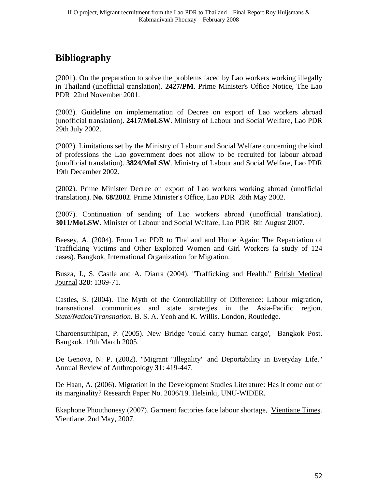# <span id="page-51-0"></span>**Bibliography**

(2001). On the preparation to solve the problems faced by Lao workers working illegally in Thailand (unofficial translation). **2427/PM**. Prime Minister's Office Notice, The Lao PDR 22nd November 2001.

(2002). Guideline on implementation of Decree on export of Lao workers abroad (unofficial translation). **2417/MoLSW**. Ministry of Labour and Social Welfare, Lao PDR 29th July 2002.

(2002). Limitations set by the Ministry of Labour and Social Welfare concerning the kind of professions the Lao government does not allow to be recruited for labour abroad (unofficial translation). **3824/MoLSW**. Ministry of Labour and Social Welfare, Lao PDR 19th December 2002.

(2002). Prime Minister Decree on export of Lao workers working abroad (unofficial translation). **No. 68/2002**. Prime Minister's Office, Lao PDR 28th May 2002.

(2007). Continuation of sending of Lao workers abroad (unofficial translation). **3011/MoLSW**. Minister of Labour and Social Welfare, Lao PDR 8th August 2007.

Beesey, A. (2004). From Lao PDR to Thailand and Home Again: The Repatriation of Trafficking Victims and Other Exploited Women and Girl Workers (a study of 124 cases). Bangkok, International Organization for Migration.

Busza, J., S. Castle and A. Diarra (2004). "Trafficking and Health." British Medical Journal **328**: 1369-71.

Castles, S. (2004). The Myth of the Controllability of Difference: Labour migration, transnational communities and state strategies in the Asia-Pacific region. *State/Nation/Transnation*. B. S. A. Yeoh and K. Willis. London, Routledge.

Charoensutthipan, P. (2005). New Bridge 'could carry human cargo', Bangkok Post. Bangkok. 19th March 2005.

De Genova, N. P. (2002). "Migrant "Illegality" and Deportability in Everyday Life." Annual Review of Anthropology **31**: 419-447.

De Haan, A. (2006). Migration in the Development Studies Literature: Has it come out of its marginality? Research Paper No. 2006/19. Helsinki, UNU-WIDER.

Ekaphone Phouthonesy (2007). Garment factories face labour shortage, Vientiane Times. Vientiane. 2nd May, 2007.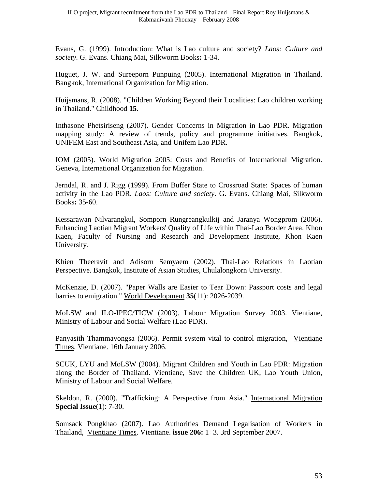Evans, G. (1999). Introduction: What is Lao culture and society? *Laos: Culture and society*. G. Evans. Chiang Mai, Silkworm Books**:** 1-34.

Huguet, J. W. and Sureeporn Punpuing (2005). International Migration in Thailand. Bangkok, International Organization for Migration.

Huijsmans, R. (2008). "Children Working Beyond their Localities: Lao children working in Thailand." Childhood **15**.

Inthasone Phetsiriseng (2007). Gender Concerns in Migration in Lao PDR. Migration mapping study: A review of trends, policy and programme initiatives. Bangkok, UNIFEM East and Southeast Asia, and Unifem Lao PDR.

IOM (2005). World Migration 2005: Costs and Benefits of International Migration. Geneva, International Organization for Migration.

Jerndal, R. and J. Rigg (1999). From Buffer State to Crossroad State: Spaces of human activity in the Lao PDR. *Laos: Culture and society*. G. Evans. Chiang Mai, Silkworm Books**:** 35-60.

Kessarawan Nilvarangkul, Somporn Rungreangkulkij and Jaranya Wongprom (2006). Enhancing Laotian Migrant Workers' Quality of Life within Thai-Lao Border Area. Khon Kaen, Faculty of Nursing and Research and Development Institute, Khon Kaen University.

Khien Theeravit and Adisorn Semyaem (2002). Thai-Lao Relations in Laotian Perspective. Bangkok, Institute of Asian Studies, Chulalongkorn University.

McKenzie, D. (2007). "Paper Walls are Easier to Tear Down: Passport costs and legal barries to emigration." World Development **35**(11): 2026-2039.

MoLSW and ILO-IPEC/TICW (2003). Labour Migration Survey 2003. Vientiane, Ministry of Labour and Social Welfare (Lao PDR).

Panyasith Thammavongsa (2006). Permit system vital to control migration, Vientiane Times. Vientiane. 16th January 2006.

SCUK, LYU and MoLSW (2004). Migrant Children and Youth in Lao PDR: Migration along the Border of Thailand. Vientiane, Save the Children UK, Lao Youth Union, Ministry of Labour and Social Welfare.

Skeldon, R. (2000). "Trafficking: A Perspective from Asia." International Migration **Special Issue**(1): 7-30.

Somsack Pongkhao (2007). Lao Authorities Demand Legalisation of Workers in Thailand, Vientiane Times. Vientiane. **issue 206:** 1+3. 3rd September 2007.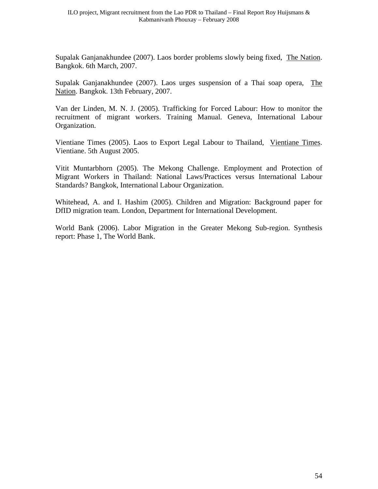Supalak Ganjanakhundee (2007). Laos border problems slowly being fixed, The Nation. Bangkok. 6th March, 2007.

Supalak Ganjanakhundee (2007). Laos urges suspension of a Thai soap opera, The Nation. Bangkok. 13th February, 2007.

Van der Linden, M. N. J. (2005). Trafficking for Forced Labour: How to monitor the recruitment of migrant workers. Training Manual. Geneva, International Labour Organization.

Vientiane Times (2005). Laos to Export Legal Labour to Thailand, Vientiane Times. Vientiane. 5th August 2005.

Vitit Muntarbhorn (2005). The Mekong Challenge. Employment and Protection of Migrant Workers in Thailand: National Laws/Practices versus International Labour Standards? Bangkok, International Labour Organization.

Whitehead, A. and I. Hashim (2005). Children and Migration: Background paper for DfID migration team. London, Department for International Development.

World Bank (2006). Labor Migration in the Greater Mekong Sub-region. Synthesis report: Phase 1, The World Bank.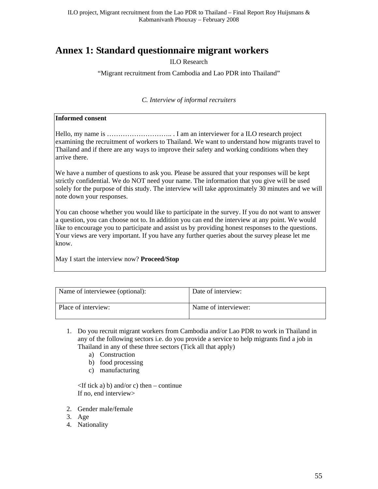# <span id="page-54-0"></span>**Annex 1: Standard questionnaire migrant workers**

ILO Research

"Migrant recruitment from Cambodia and Lao PDR into Thailand"

*C. Interview of informal recruiters* 

#### **Informed consent**

Hello, my name is ……………………….. . I am an interviewer for a ILO research project examining the recruitment of workers to Thailand. We want to understand how migrants travel to Thailand and if there are any ways to improve their safety and working conditions when they arrive there.

We have a number of questions to ask you. Please be assured that your responses will be kept strictly confidential. We do NOT need your name. The information that you give will be used solely for the purpose of this study. The interview will take approximately 30 minutes and we will note down your responses.

You can choose whether you would like to participate in the survey. If you do not want to answer a question, you can choose not to. In addition you can end the interview at any point. We would like to encourage you to participate and assist us by providing honest responses to the questions. Your views are very important. If you have any further queries about the survey please let me know.

May I start the interview now? **Proceed/Stop** 

| Name of interviewee (optional): | Date of interview:   |
|---------------------------------|----------------------|
| Place of interview:             | Name of interviewer: |

- 1. Do you recruit migrant workers from Cambodia and/or Lao PDR to work in Thailand in any of the following sectors i.e. do you provide a service to help migrants find a job in Thailand in any of these three sectors (Tick all that apply)
	- a) Construction
	- b) food processing
	- c) manufacturing

 $\langle$ If tick a) b) and/or c) then – continue If no, end interview>

- 2. Gender male/female
- 3. Age
- 4. Nationality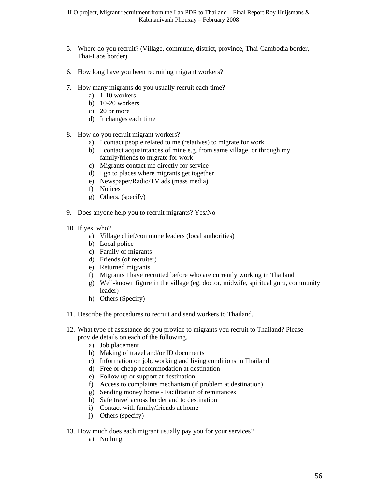- 5. Where do you recruit? (Village, commune, district, province, Thai-Cambodia border, Thai-Laos border)
- 6. How long have you been recruiting migrant workers?
- 7. How many migrants do you usually recruit each time?
	- a) 1-10 workers
	- b) 10-20 workers
	- c) 20 or more
	- d) It changes each time
- 8. How do you recruit migrant workers?
	- a) I contact people related to me (relatives) to migrate for work
	- b) I contact acquaintances of mine e.g. from same village, or through my family/friends to migrate for work
	- c) Migrants contact me directly for service
	- d) I go to places where migrants get together
	- e) Newspaper/Radio/TV ads (mass media)
	- f) Notices
	- g) Others. (specify)
- 9. Does anyone help you to recruit migrants? Yes/No
- 10. If yes, who?
	- a) Village chief/commune leaders (local authorities)
	- b) Local police
	- c) Family of migrants
	- d) Friends (of recruiter)
	- e) Returned migrants
	- f) Migrants I have recruited before who are currently working in Thailand
	- g) Well-known figure in the village (eg. doctor, midwife, spiritual guru, community leader)
	- h) Others (Specify)
- 11. Describe the procedures to recruit and send workers to Thailand.
- 12. What type of assistance do you provide to migrants you recruit to Thailand? Please provide details on each of the following.
	- a) Job placement
	- b) Making of travel and/or ID documents
	- c) Information on job, working and living conditions in Thailand
	- d) Free or cheap accommodation at destination
	- e) Follow up or support at destination
	- f) Access to complaints mechanism (if problem at destination)
	- g) Sending money home Facilitation of remittances
	- h) Safe travel across border and to destination
	- i) Contact with family/friends at home
	- j) Others (specify)
- 13. How much does each migrant usually pay you for your services?
	- a) Nothing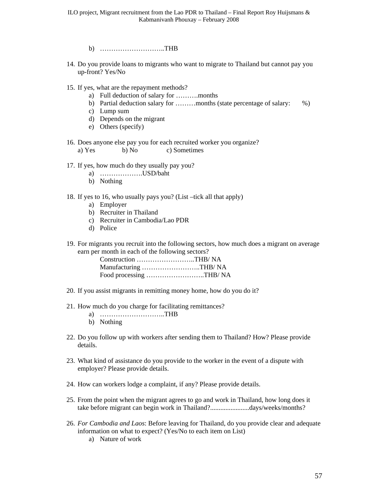- b) ………………………..THB
- 14. Do you provide loans to migrants who want to migrate to Thailand but cannot pay you up-front? Yes/No
- 15. If yes, what are the repayment methods?
	- a) Full deduction of salary for ……….months
	- b) Partial deduction salary for ………months (state percentage of salary:  $\%$ )
	- c) Lump sum
	- d) Depends on the migrant
	- e) Others (specify)
- 16. Does anyone else pay you for each recruited worker you organize? a) Yes b) No c) Sometimes
- 17. If yes, how much do they usually pay you?
	- a) ……………….USD/baht
	- b) Nothing
- 18. If yes to 16, who usually pays you? (List –tick all that apply)
	- a) Employer
	- b) Recruiter in Thailand
	- c) Recruiter in Cambodia/Lao PDR
	- d) Police

19. For migrants you recruit into the following sectors, how much does a migrant on average earn per month in each of the following sectors?

| Construction THB/NA    |  |
|------------------------|--|
| Manufacturing THB/ NA  |  |
| Food processing THB/NA |  |

- 20. If you assist migrants in remitting money home, how do you do it?
- 21. How much do you charge for facilitating remittances?
	- a) ………………………..THB
	- b) Nothing
- 22. Do you follow up with workers after sending them to Thailand? How? Please provide details.
- 23. What kind of assistance do you provide to the worker in the event of a dispute with employer? Please provide details.
- 24. How can workers lodge a complaint, if any? Please provide details.
- 25. From the point when the migrant agrees to go and work in Thailand, how long does it take before migrant can begin work in Thailand?.................................days/weeks/months?
- 26. *For Cambodia and Laos*: Before leaving for Thailand, do you provide clear and adequate information on what to expect? (Yes/No to each item on List)
	- a) Nature of work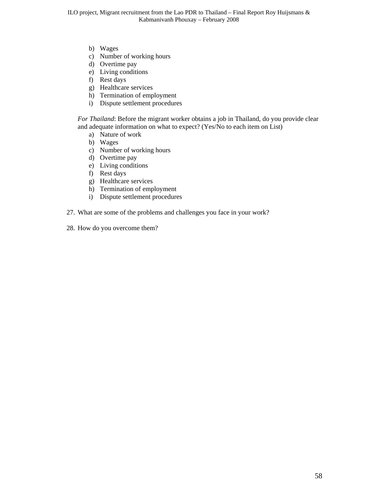- b) Wages
- c) Number of working hours
- d) Overtime pay
- e) Living conditions
- f) Rest days
- g) Healthcare services
- h) Termination of employment
- i) Dispute settlement procedures

*For Thailand*: Before the migrant worker obtains a job in Thailand, do you provide clear and adequate information on what to expect? (Yes/No to each item on List)

- a) Nature of work
- b) Wages
- c) Number of working hours
- d) Overtime pay
- e) Living conditions
- f) Rest days
- g) Healthcare services
- h) Termination of employment
- i) Dispute settlement procedures
- 27. What are some of the problems and challenges you face in your work?
- 28. How do you overcome them?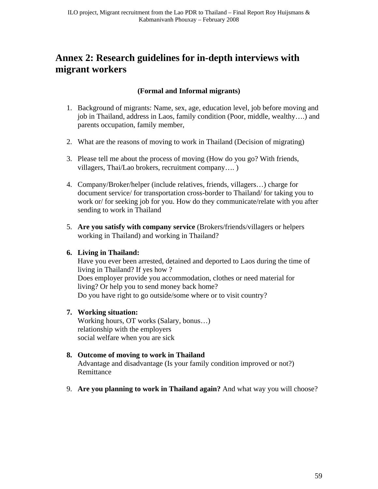# <span id="page-58-0"></span>**Annex 2: Research guidelines for in-depth interviews with migrant workers**

### **(Formal and Informal migrants)**

- 1. Background of migrants: Name, sex, age, education level, job before moving and job in Thailand, address in Laos, family condition (Poor, middle, wealthy….) and parents occupation, family member,
- 2. What are the reasons of moving to work in Thailand (Decision of migrating)
- 3. Please tell me about the process of moving (How do you go? With friends, villagers, Thai/Lao brokers, recruitment company…. )
- 4. Company/Broker/helper (include relatives, friends, villagers…) charge for document service/ for transportation cross-border to Thailand/ for taking you to work or/ for seeking job for you. How do they communicate/relate with you after sending to work in Thailand
- 5. **Are you satisfy with company service** (Brokers/friends/villagers or helpers working in Thailand) and working in Thailand?

### **6. Living in Thailand:**

Have you ever been arrested, detained and deported to Laos during the time of living in Thailand? If yes how ? Does employer provide you accommodation, clothes or need material for living? Or help you to send money back home? Do you have right to go outside/some where or to visit country?

### **7. Working situation:**

Working hours, OT works (Salary, bonus…) relationship with the employers social welfare when you are sick

### **8. Outcome of moving to work in Thailand**

Advantage and disadvantage (Is your family condition improved or not?) Remittance

9. **Are you planning to work in Thailand again?** And what way you will choose?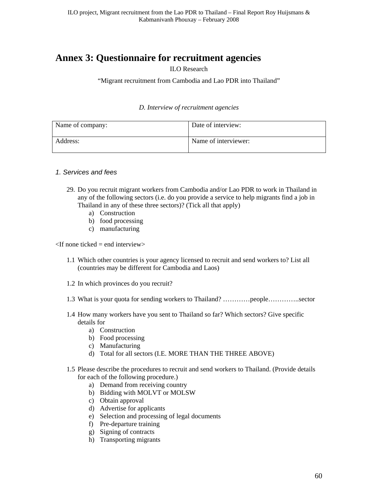# <span id="page-59-0"></span>**Annex 3: Questionnaire for recruitment agencies**

ILO Research

"Migrant recruitment from Cambodia and Lao PDR into Thailand"

#### *D. Interview of recruitment agencies*

| Name of company: | Date of interview:   |
|------------------|----------------------|
| Address:         | Name of interviewer: |

#### *1. Services and fees*

- 29. Do you recruit migrant workers from Cambodia and/or Lao PDR to work in Thailand in any of the following sectors (i.e. do you provide a service to help migrants find a job in Thailand in any of these three sectors)? (Tick all that apply)
	- a) Construction
	- b) food processing
	- c) manufacturing

 $\leq$ If none ticked = end interview $>$ 

- 1.1 Which other countries is your agency licensed to recruit and send workers to? List all (countries may be different for Cambodia and Laos)
- 1.2 In which provinces do you recruit?
- 1.3 What is your quota for sending workers to Thailand? …………people…………..sector
- 1.4 How many workers have you sent to Thailand so far? Which sectors? Give specific details for
	- a) Construction
	- b) Food processing
	- c) Manufacturing
	- d) Total for all sectors (I.E. MORE THAN THE THREE ABOVE)
- 1.5 Please describe the procedures to recruit and send workers to Thailand. (Provide details for each of the following procedure.)
	- a) Demand from receiving country
	- b) Bidding with MOLVT or MOLSW
	- c) Obtain approval
	- d) Advertise for applicants
	- e) Selection and processing of legal documents
	- f) Pre-departure training
	- g) Signing of contracts
	- h) Transporting migrants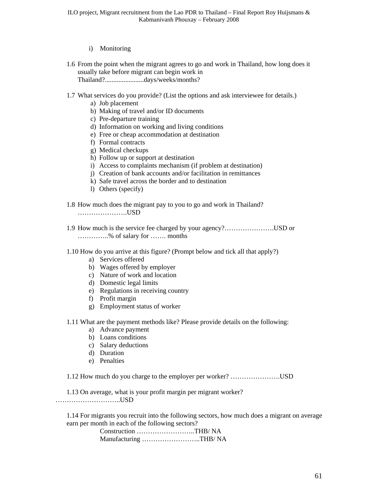#### i) Monitoring

- 1.6 From the point when the migrant agrees to go and work in Thailand, how long does it usually take before migrant can begin work in Thailand?.......................days/weeks/months?
- 1.7 What services do you provide? (List the options and ask interviewee for details.)
	- a) Job placement
	- b) Making of travel and/or ID documents
	- c) Pre-departure training
	- d) Information on working and living conditions
	- e) Free or cheap accommodation at destination
	- f) Formal contracts
	- g) Medical checkups
	- h) Follow up or support at destination
	- i) Access to complaints mechanism (if problem at destination)
	- j) Creation of bank accounts and/or facilitation in remittances
	- k) Safe travel across the border and to destination
	- l) Others (specify)
- 1.8 How much does the migrant pay to you to go and work in Thailand? ………………….USD
- 1.9 How much is the service fee charged by your agency?………………….USD or …………..% of salary for ……. months
- 1.10 How do you arrive at this figure? (Prompt below and tick all that apply?)
	- a) Services offered
	- b) Wages offered by employer
	- c) Nature of work and location
	- d) Domestic legal limits
	- e) Regulations in receiving country
	- f) Profit margin
	- g) Employment status of worker
- 1.11 What are the payment methods like? Please provide details on the following:
	- a) Advance payment
	- b) Loans conditions
	- c) Salary deductions
	- d) Duration
	- e) Penalties

1.12 How much do you charge to the employer per worker? ………………….USD

1.13 On average, what is your profit margin per migrant worker? ………………………..USD

1.14 For migrants you recruit into the following sectors, how much does a migrant on average earn per month in each of the following sectors?

| Construction THB/NA   |  |
|-----------------------|--|
| Manufacturing THB/ NA |  |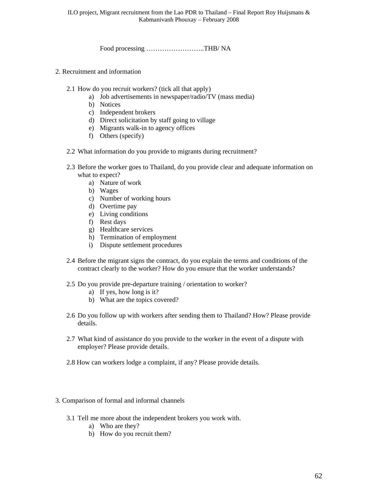Food processing ……………………..THB/ NA

- 2. Recruitment and information
	- 2.1 How do you recruit workers? (tick all that apply)
		- a) Job advertisements in newspaper/radio/TV (mass media)
		- b) Notices
		- c) Independent brokers
		- d) Direct solicitation by staff going to village
		- e) Migrants walk-in to agency offices
		- f) Others (specify)
	- 2.2 What information do you provide to migrants during recruitment?
	- 2.3 Before the worker goes to Thailand, do you provide clear and adequate information on what to expect?
		- a) Nature of work
		- b) Wages
		- c) Number of working hours
		- d) Overtime pay
		- e) Living conditions
		- f) Rest days
		- g) Healthcare services
		- h) Termination of employment
		- i) Dispute settlement procedures
	- 2.4 Before the migrant signs the contract, do you explain the terms and conditions of the contract clearly to the worker? How do you ensure that the worker understands?
	- 2.5 Do you provide pre-departure training / orientation to worker?
		- a) If yes, how long is it?
		- b) What are the topics covered?
	- 2.6 Do you follow up with workers after sending them to Thailand? How? Please provide details.
	- 2.7 What kind of assistance do you provide to the worker in the event of a dispute with employer? Please provide details.
	- 2.8 How can workers lodge a complaint, if any? Please provide details.
- 3. Comparison of formal and informal channels
	- 3.1 Tell me more about the independent brokers you work with.
		- a) Who are they?
		- b) How do you recruit them?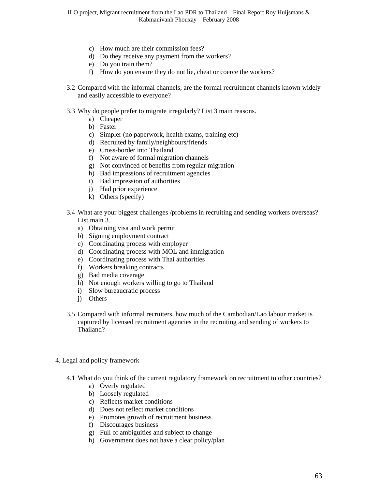- c) How much are their commission fees?
- d) Do they receive any payment from the workers?
- e) Do you train them?
- f) How do you ensure they do not lie, cheat or coerce the workers?
- 3.2 Compared with the informal channels, are the formal recruitment channels known widely and easily accessible to everyone?
- 3.3 Why do people prefer to migrate irregularly? List 3 main reasons.
	- a) Cheaper
	- b) Faster
	- c) Simpler (no paperwork, health exams, training etc)
	- d) Recruited by family/neighbours/friends
	- e) Cross-border into Thailand
	- f) Not aware of formal migration channels
	- g) Not convinced of benefits from regular migration
	- h) Bad impressions of recruitment agencies
	- i) Bad impression of authorities
	- j) Had prior experience
	- k) Others (specify)
- 3.4 What are your biggest challenges /problems in recruiting and sending workers overseas? List main 3.
	- a) Obtaining visa and work permit
	- b) Signing employment contract
	- c) Coordinating process with employer
	- d) Coordinating process with MOL and immigration
	- e) Coordinating process with Thai authorities
	- f) Workers breaking contracts
	- g) Bad media coverage
	- h) Not enough workers willing to go to Thailand
	- i) Slow bureaucratic process
	- j) Others
- 3.5 Compared with informal recruiters, how much of the Cambodian/Lao labour market is captured by licensed recruitment agencies in the recruiting and sending of workers to Thailand?
- 4. Legal and policy framework
	- 4.1 What do you think of the current regulatory framework on recruitment to other countries?
		- a) Overly regulated
		- b) Loosely regulated
		- c) Reflects market conditions
		- d) Does not reflect market conditions
		- e) Promotes growth of recruitment business
		- f) Discourages business
		- g) Full of ambiguities and subject to change
		- h) Government does not have a clear policy/plan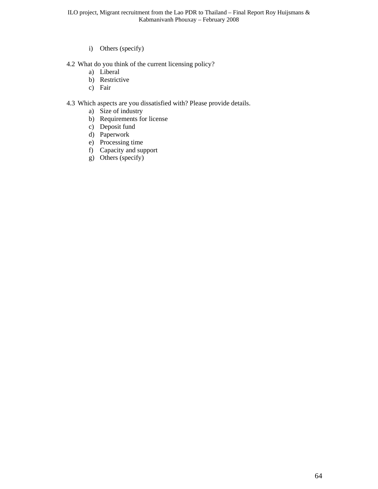i) Others (specify)

#### 4.2 What do you think of the current licensing policy?

- a) Liberal
- b) Restrictive
- c) Fair

#### 4.3 Which aspects are you dissatisfied with? Please provide details.

- a) Size of industry
- b) Requirements for license
- c) Deposit fund
- d) Paperwork
- e) Processing time
- f) Capacity and support
- g) Others (specify)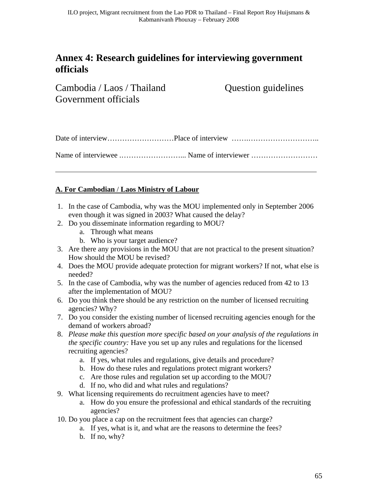# <span id="page-64-0"></span>**Annex 4: Research guidelines for interviewing government officials**

Cambodia / Laos / Thailand Question guidelines Government officials

### **A. For Cambodian** / **Laos Ministry of Labour**

- 1. In the case of Cambodia, why was the MOU implemented only in September 2006 even though it was signed in 2003? What caused the delay?
- 2. Do you disseminate information regarding to MOU?
	- a. Through what means
	- b. Who is your target audience?
- 3. Are there any provisions in the MOU that are not practical to the present situation? How should the MOU be revised?
- 4. Does the MOU provide adequate protection for migrant workers? If not, what else is needed?
- 5. In the case of Cambodia, why was the number of agencies reduced from 42 to 13 after the implementation of MOU?
- 6. Do you think there should be any restriction on the number of licensed recruiting agencies? Why?
- 7. Do you consider the existing number of licensed recruiting agencies enough for the demand of workers abroad?
- 8. *Please make this question more specific based on your analysis of the regulations in the specific country:* Have you set up any rules and regulations for the licensed recruiting agencies?
	- a. If yes, what rules and regulations, give details and procedure?
	- b. How do these rules and regulations protect migrant workers?
	- c. Are those rules and regulation set up according to the MOU?
	- d. If no, who did and what rules and regulations?
- 9. What licensing requirements do recruitment agencies have to meet?
	- a. How do you ensure the professional and ethical standards of the recruiting agencies?
- 10. Do you place a cap on the recruitment fees that agencies can charge?
	- a. If yes, what is it, and what are the reasons to determine the fees?
	- b. If no, why?